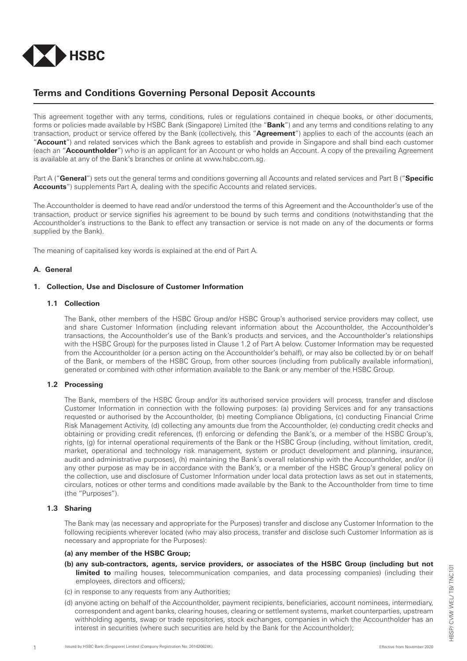

# **Terms and Conditions Governing Personal Deposit Accounts**

This agreement together with any terms, conditions, rules or regulations contained in cheque books, or other documents, forms or policies made available by HSBC Bank (Singapore) Limited (the "**Bank**") and any terms and conditions relating to any transaction, product or service offered by the Bank (collectively, this "**Agreement**") applies to each of the accounts (each an "**Account**") and related services which the Bank agrees to establish and provide in Singapore and shall bind each customer (each an "**Accountholder**") who is an applicant for an Account or who holds an Account. A copy of the prevailing Agreement is available at any of the Bank's branches or online at www.hsbc.com.sg.

Part A ("**General**") sets out the general terms and conditions governing all Accounts and related services and Part B ("**Specific Accounts**") supplements Part A, dealing with the specific Accounts and related services.

The Accountholder is deemed to have read and/or understood the terms of this Agreement and the Accountholder's use of the transaction, product or service signifies his agreement to be bound by such terms and conditions (notwithstanding that the Accountholder's instructions to the Bank to effect any transaction or service is not made on any of the documents or forms supplied by the Bank).

The meaning of capitalised key words is explained at the end of Part A.

# **A. General**

# **1. Collection, Use and Disclosure of Customer Information**

# **1.1 Collection**

 The Bank, other members of the HSBC Group and/or HSBC Group's authorised service providers may collect, use and share Customer Information (including relevant information about the Accountholder, the Accountholder's transactions, the Accountholder's use of the Bank's products and services, and the Accountholder's relationships with the HSBC Group) for the purposes listed in Clause 1.2 of Part A below. Customer Information may be requested from the Accountholder (or a person acting on the Accountholder's behalf), or may also be collected by or on behalf of the Bank, or members of the HSBC Group, from other sources (including from publically available information), generated or combined with other information available to the Bank or any member of the HSBC Group.

# **1.2 Processing**

 The Bank, members of the HSBC Group and/or its authorised service providers will process, transfer and disclose Customer Information in connection with the following purposes: (a) providing Services and for any transactions requested or authorised by the Accountholder, (b) meeting Compliance Obligations, (c) conducting Financial Crime Risk Management Activity, (d) collecting any amounts due from the Accountholder, (e) conducting credit checks and obtaining or providing credit references, (f) enforcing or defending the Bank's, or a member of the HSBC Group's, rights, (g) for internal operational requirements of the Bank or the HSBC Group (including, without limitation, credit, market, operational and technology risk management, system or product development and planning, insurance, audit and administrative purposes), (h) maintaining the Bank's overall relationship with the Accountholder, and/or (i) any other purpose as may be in accordance with the Bank's, or a member of the HSBC Group's general policy on the collection, use and disclosure of Customer Information under local data protection laws as set out in statements, circulars, notices or other terms and conditions made available by the Bank to the Accountholder from time to time (the "Purposes").

#### **1.3 Sharing**

 The Bank may (as necessary and appropriate for the Purposes) transfer and disclose any Customer Information to the following recipients wherever located (who may also process, transfer and disclose such Customer Information as is necessary and appropriate for the Purposes):

#### **(a) any member of the HSBC Group;**

- **(b) any sub-contractors, agents, service providers, or associates of the HSBC Group (including but not limited to** mailing houses, telecommunication companies, and data processing companies) (including their employees, directors and officers);
- (c) in response to any requests from any Authorities;
- (d) anyone acting on behalf of the Accountholder, payment recipients, beneficiaries, account nominees, intermediary, correspondent and agent banks, clearing houses, clearing or settlement systems, market counterparties, upstream withholding agents, swap or trade repositories, stock exchanges, companies in which the Accountholder has an interest in securities (where such securities are held by the Bank for the Accountholder);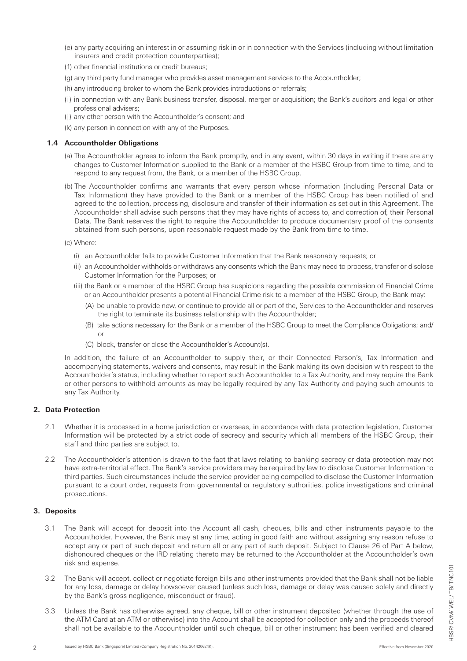- (e) any party acquiring an interest in or assuming risk in or in connection with the Services (including without limitation insurers and credit protection counterparties);
- (f) other financial institutions or credit bureaus;
- (g) any third party fund manager who provides asset management services to the Accountholder;
- (h) any introducing broker to whom the Bank provides introductions or referrals;
- (i) in connection with any Bank business transfer, disposal, merger or acquisition; the Bank's auditors and legal or other professional advisers;
- (j) any other person with the Accountholder's consent; and
- (k) any person in connection with any of the Purposes.

#### **1.4 Accountholder Obligations**

- (a) The Accountholder agrees to inform the Bank promptly, and in any event, within 30 days in writing if there are any changes to Customer Information supplied to the Bank or a member of the HSBC Group from time to time, and to respond to any request from, the Bank, or a member of the HSBC Group.
- (b) The Accountholder confirms and warrants that every person whose information (including Personal Data or Tax Information) they have provided to the Bank or a member of the HSBC Group has been notified of and agreed to the collection, processing, disclosure and transfer of their information as set out in this Agreement. The Accountholder shall advise such persons that they may have rights of access to, and correction of, their Personal Data. The Bank reserves the right to require the Accountholder to produce documentary proof of the consents obtained from such persons, upon reasonable request made by the Bank from time to time.
- (c) Where:
	- (i) an Accountholder fails to provide Customer Information that the Bank reasonably requests; or
	- (ii) an Accountholder withholds or withdraws any consents which the Bank may need to process, transfer or disclose Customer Information for the Purposes; or
	- (iii) the Bank or a member of the HSBC Group has suspicions regarding the possible commission of Financial Crime or an Accountholder presents a potential Financial Crime risk to a member of the HSBC Group, the Bank may:
		- (A) be unable to provide new, or continue to provide all or part of the, Services to the Accountholder and reserves the right to terminate its business relationship with the Accountholder;
		- (B) take actions necessary for the Bank or a member of the HSBC Group to meet the Compliance Obligations; and/ or
		- (C) block, transfer or close the Accountholder's Account(s).

 In addition, the failure of an Accountholder to supply their, or their Connected Person's, Tax Information and accompanying statements, waivers and consents, may result in the Bank making its own decision with respect to the Accountholder's status, including whether to report such Accountholder to a Tax Authority, and may require the Bank or other persons to withhold amounts as may be legally required by any Tax Authority and paying such amounts to any Tax Authority.

# **2. Data Protection**

- 2.1 Whether it is processed in a home jurisdiction or overseas, in accordance with data protection legislation, Customer Information will be protected by a strict code of secrecy and security which all members of the HSBC Group, their staff and third parties are subject to.
- 2.2 The Accountholder's attention is drawn to the fact that laws relating to banking secrecy or data protection may not have extra-territorial effect. The Bank's service providers may be required by law to disclose Customer Information to third parties. Such circumstances include the service provider being compelled to disclose the Customer Information pursuant to a court order, requests from governmental or regulatory authorities, police investigations and criminal prosecutions.

# **3. Deposits**

- 3.1 The Bank will accept for deposit into the Account all cash, cheques, bills and other instruments payable to the Accountholder. However, the Bank may at any time, acting in good faith and without assigning any reason refuse to accept any or part of such deposit and return all or any part of such deposit. Subject to Clause 26 of Part A below, dishonoured cheques or the IRD relating thereto may be returned to the Accountholder at the Accountholder's own risk and expense.
- 3.2 The Bank will accept, collect or negotiate foreign bills and other instruments provided that the Bank shall not be liable for any loss, damage or delay howsoever caused (unless such loss, damage or delay was caused solely and directly by the Bank's gross negligence, misconduct or fraud).
- 3.3 Unless the Bank has otherwise agreed, any cheque, bill or other instrument deposited (whether through the use of the ATM Card at an ATM or otherwise) into the Account shall be accepted for collection only and the proceeds thereof shall not be available to the Accountholder until such cheque, bill or other instrument has been verified and cleared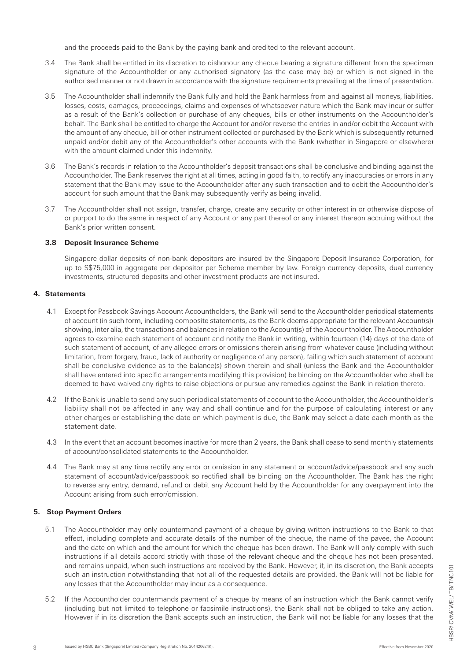and the proceeds paid to the Bank by the paying bank and credited to the relevant account.

- 3.4 The Bank shall be entitled in its discretion to dishonour any cheque bearing a signature different from the specimen signature of the Accountholder or any authorised signatory (as the case may be) or which is not signed in the authorised manner or not drawn in accordance with the signature requirements prevailing at the time of presentation.
- 3.5 The Accountholder shall indemnify the Bank fully and hold the Bank harmless from and against all moneys, liabilities, losses, costs, damages, proceedings, claims and expenses of whatsoever nature which the Bank may incur or suffer as a result of the Bank's collection or purchase of any cheques, bills or other instruments on the Accountholder's behalf. The Bank shall be entitled to charge the Account for and/or reverse the entries in and/or debit the Account with the amount of any cheque, bill or other instrument collected or purchased by the Bank which is subsequently returned unpaid and/or debit any of the Accountholder's other accounts with the Bank (whether in Singapore or elsewhere) with the amount claimed under this indemnity.
- 3.6 The Bank's records in relation to the Accountholder's deposit transactions shall be conclusive and binding against the Accountholder. The Bank reserves the right at all times, acting in good faith, to rectify any inaccuracies or errors in any statement that the Bank may issue to the Accountholder after any such transaction and to debit the Accountholder's account for such amount that the Bank may subsequently verify as being invalid.
- 3.7 The Accountholder shall not assign, transfer, charge, create any security or other interest in or otherwise dispose of or purport to do the same in respect of any Account or any part thereof or any interest thereon accruing without the Bank's prior written consent.

#### **3.8 Deposit Insurance Scheme**

 Singapore dollar deposits of non-bank depositors are insured by the Singapore Deposit Insurance Corporation, for up to S\$75,000 in aggregate per depositor per Scheme member by law. Foreign currency deposits, dual currency investments, structured deposits and other investment products are not insured.

# **4. Statements**

- 4.1 Except for Passbook Savings Account Accountholders, the Bank will send to the Accountholder periodical statements of account (in such form, including composite statements, as the Bank deems appropriate for the relevant Account(s)) showing, inter alia, the transactions and balances in relation to the Account(s) of the Accountholder. The Accountholder agrees to examine each statement of account and notify the Bank in writing, within fourteen (14) days of the date of such statement of account, of any alleged errors or omissions therein arising from whatever cause (including without limitation, from forgery, fraud, lack of authority or negligence of any person), failing which such statement of account shall be conclusive evidence as to the balance(s) shown therein and shall (unless the Bank and the Accountholder shall have entered into specific arrangements modifying this provision) be binding on the Accountholder who shall be deemed to have waived any rights to raise objections or pursue any remedies against the Bank in relation thereto.
- 4.2 If the Bank is unable to send any such periodical statements of account to the Accountholder, the Accountholder's liability shall not be affected in any way and shall continue and for the purpose of calculating interest or any other charges or establishing the date on which payment is due, the Bank may select a date each month as the statement date.
- 4.3 In the event that an account becomes inactive for more than 2 years, the Bank shall cease to send monthly statements of account/consolidated statements to the Accountholder.
- 4.4 The Bank may at any time rectify any error or omission in any statement or account/advice/passbook and any such statement of account/advice/passbook so rectified shall be binding on the Accountholder. The Bank has the right to reverse any entry, demand, refund or debit any Account held by the Accountholder for any overpayment into the Account arising from such error/omission.

# **5. Stop Payment Orders**

- 5.1 The Accountholder may only countermand payment of a cheque by giving written instructions to the Bank to that effect, including complete and accurate details of the number of the cheque, the name of the payee, the Account and the date on which and the amount for which the cheque has been drawn. The Bank will only comply with such instructions if all details accord strictly with those of the relevant cheque and the cheque has not been presented, and remains unpaid, when such instructions are received by the Bank. However, if, in its discretion, the Bank accepts such an instruction notwithstanding that not all of the requested details are provided, the Bank will not be liable for any losses that the Accountholder may incur as a consequence.
- 5.2 If the Accountholder countermands payment of a cheque by means of an instruction which the Bank cannot verify (including but not limited to telephone or facsimile instructions), the Bank shall not be obliged to take any action. However if in its discretion the Bank accepts such an instruction, the Bank will not be liable for any losses that the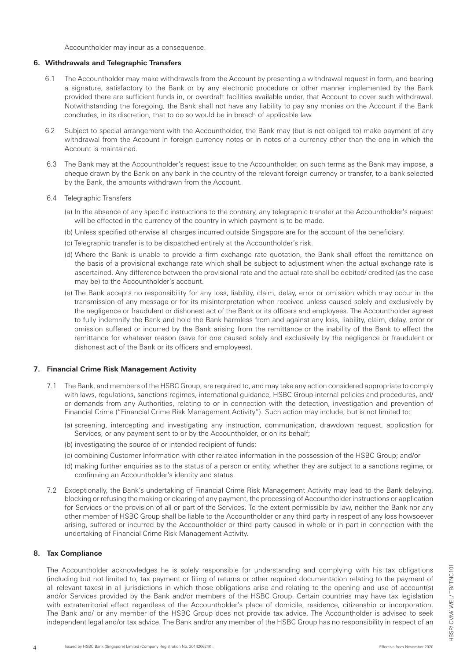Accountholder may incur as a consequence.

#### **6. Withdrawals and Telegraphic Transfers**

- 6.1 The Accountholder may make withdrawals from the Account by presenting a withdrawal request in form, and bearing a signature, satisfactory to the Bank or by any electronic procedure or other manner implemented by the Bank provided there are sufficient funds in, or overdraft facilities available under, that Account to cover such withdrawal. Notwithstanding the foregoing, the Bank shall not have any liability to pay any monies on the Account if the Bank concludes, in its discretion, that to do so would be in breach of applicable law.
- 6.2 Subject to special arrangement with the Accountholder, the Bank may (but is not obliged to) make payment of any withdrawal from the Account in foreign currency notes or in notes of a currency other than the one in which the Account is maintained.
- 6.3 The Bank may at the Accountholder's request issue to the Accountholder, on such terms as the Bank may impose, a cheque drawn by the Bank on any bank in the country of the relevant foreign currency or transfer, to a bank selected by the Bank, the amounts withdrawn from the Account.
- 6.4 Telegraphic Transfers
	- (a) In the absence of any specific instructions to the contrary, any telegraphic transfer at the Accountholder's request will be effected in the currency of the country in which payment is to be made.
	- (b) Unless specified otherwise all charges incurred outside Singapore are for the account of the beneficiary.
	- (c) Telegraphic transfer is to be dispatched entirely at the Accountholder's risk.
	- (d) Where the Bank is unable to provide a firm exchange rate quotation, the Bank shall effect the remittance on the basis of a provisional exchange rate which shall be subject to adjustment when the actual exchange rate is ascertained. Any difference between the provisional rate and the actual rate shall be debited/ credited (as the case may be) to the Accountholder's account.
	- (e) The Bank accepts no responsibility for any loss, liability, claim, delay, error or omission which may occur in the transmission of any message or for its misinterpretation when received unless caused solely and exclusively by the negligence or fraudulent or dishonest act of the Bank or its officers and employees. The Accountholder agrees to fully indemnify the Bank and hold the Bank harmless from and against any loss, liability, claim, delay, error or omission suffered or incurred by the Bank arising from the remittance or the inability of the Bank to effect the remittance for whatever reason (save for one caused solely and exclusively by the negligence or fraudulent or dishonest act of the Bank or its officers and employees).

# **7. Financial Crime Risk Management Activity**

- 7.1 The Bank, and members of the HSBC Group, are required to, and may take any action considered appropriate to comply with laws, regulations, sanctions regimes, international guidance, HSBC Group internal policies and procedures, and/ or demands from any Authorities, relating to or in connection with the detection, investigation and prevention of Financial Crime ("Financial Crime Risk Management Activity"). Such action may include, but is not limited to:
	- (a) screening, intercepting and investigating any instruction, communication, drawdown request, application for Services, or any payment sent to or by the Accountholder, or on its behalf;
	- (b) investigating the source of or intended recipient of funds;
	- (c) combining Customer Information with other related information in the possession of the HSBC Group; and/or
	- (d) making further enquiries as to the status of a person or entity, whether they are subject to a sanctions regime, or confirming an Accountholder's identity and status.
- 7.2 Exceptionally, the Bank's undertaking of Financial Crime Risk Management Activity may lead to the Bank delaying, blocking or refusing the making or clearing of any payment, the processing of Accountholder instructions or application for Services or the provision of all or part of the Services. To the extent permissible by law, neither the Bank nor any other member of HSBC Group shall be liable to the Accountholder or any third party in respect of any loss howsoever arising, suffered or incurred by the Accountholder or third party caused in whole or in part in connection with the undertaking of Financial Crime Risk Management Activity.

# **8. Tax Compliance**

The Accountholder acknowledges he is solely responsible for understanding and complying with his tax obligations (including but not limited to, tax payment or filing of returns or other required documentation relating to the payment of all relevant taxes) in all jurisdictions in which those obligations arise and relating to the opening and use of account(s) and/or Services provided by the Bank and/or members of the HSBC Group. Certain countries may have tax legislation with extraterritorial effect regardless of the Accountholder's place of domicile, residence, citizenship or incorporation. The Bank and/ or any member of the HSBC Group does not provide tax advice. The Accountholder is advised to seek independent legal and/or tax advice. The Bank and/or any member of the HSBC Group has no responsibility in respect of an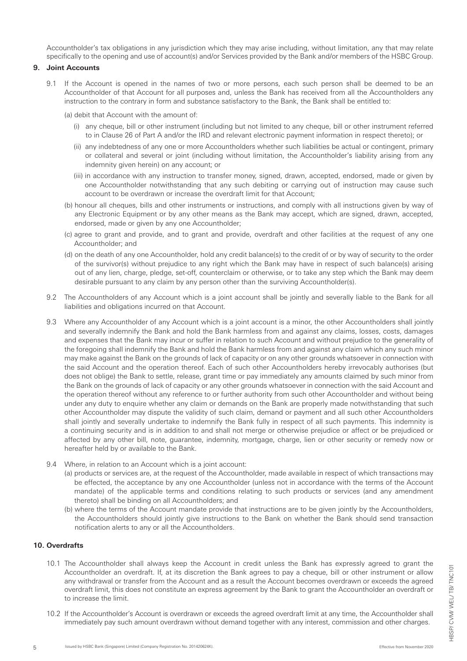Accountholder's tax obligations in any jurisdiction which they may arise including, without limitation, any that may relate specifically to the opening and use of account(s) and/or Services provided by the Bank and/or members of the HSBC Group.

#### **9. Joint Accounts**

9.1 If the Account is opened in the names of two or more persons, each such person shall be deemed to be an Accountholder of that Account for all purposes and, unless the Bank has received from all the Accountholders any instruction to the contrary in form and substance satisfactory to the Bank, the Bank shall be entitled to:

(a) debit that Account with the amount of:

- (i) any cheque, bill or other instrument (including but not limited to any cheque, bill or other instrument referred to in Clause 26 of Part A and/or the IRD and relevant electronic payment information in respect thereto); or
- (ii) any indebtedness of any one or more Accountholders whether such liabilities be actual or contingent, primary or collateral and several or joint (including without limitation, the Accountholder's liability arising from any indemnity given herein) on any account; or
- (iii) in accordance with any instruction to transfer money, signed, drawn, accepted, endorsed, made or given by one Accountholder notwithstanding that any such debiting or carrying out of instruction may cause such account to be overdrawn or increase the overdraft limit for that Account;
- (b) honour all cheques, bills and other instruments or instructions, and comply with all instructions given by way of any Electronic Equipment or by any other means as the Bank may accept, which are signed, drawn, accepted, endorsed, made or given by any one Accountholder;
- (c) agree to grant and provide, and to grant and provide, overdraft and other facilities at the request of any one Accountholder; and
- (d) on the death of any one Accountholder, hold any credit balance(s) to the credit of or by way of security to the order of the survivor(s) without prejudice to any right which the Bank may have in respect of such balance(s) arising out of any lien, charge, pledge, set-off, counterclaim or otherwise, or to take any step which the Bank may deem desirable pursuant to any claim by any person other than the surviving Accountholder(s).
- 9.2 The Accountholders of any Account which is a joint account shall be jointly and severally liable to the Bank for all liabilities and obligations incurred on that Account.
- 9.3 Where any Accountholder of any Account which is a joint account is a minor, the other Accountholders shall jointly and severally indemnify the Bank and hold the Bank harmless from and against any claims, losses, costs, damages and expenses that the Bank may incur or suffer in relation to such Account and without prejudice to the generality of the foregoing shall indemnify the Bank and hold the Bank harmless from and against any claim which any such minor may make against the Bank on the grounds of lack of capacity or on any other grounds whatsoever in connection with the said Account and the operation thereof. Each of such other Accountholders hereby irrevocably authorises (but does not oblige) the Bank to settle, release, grant time or pay immediately any amounts claimed by such minor from the Bank on the grounds of lack of capacity or any other grounds whatsoever in connection with the said Account and the operation thereof without any reference to or further authority from such other Accountholder and without being under any duty to enquire whether any claim or demands on the Bank are properly made notwithstanding that such other Accountholder may dispute the validity of such claim, demand or payment and all such other Accountholders shall jointly and severally undertake to indemnify the Bank fully in respect of all such payments. This indemnity is a continuing security and is in addition to and shall not merge or otherwise prejudice or affect or be prejudiced or affected by any other bill, note, guarantee, indemnity, mortgage, charge, lien or other security or remedy now or hereafter held by or available to the Bank.
- 9.4 Where, in relation to an Account which is a joint account:
	- (a) products or services are, at the request of the Accountholder, made available in respect of which transactions may be effected, the acceptance by any one Accountholder (unless not in accordance with the terms of the Account mandate) of the applicable terms and conditions relating to such products or services (and any amendment thereto) shall be binding on all Accountholders; and
	- (b) where the terms of the Account mandate provide that instructions are to be given jointly by the Accountholders, the Accountholders should jointly give instructions to the Bank on whether the Bank should send transaction notification alerts to any or all the Accountholders.

# **10. Overdrafts**

- 10.1 The Accountholder shall always keep the Account in credit unless the Bank has expressly agreed to grant the Accountholder an overdraft. If, at its discretion the Bank agrees to pay a cheque, bill or other instrument or allow any withdrawal or transfer from the Account and as a result the Account becomes overdrawn or exceeds the agreed overdraft limit, this does not constitute an express agreement by the Bank to grant the Accountholder an overdraft or to increase the limit.
- 10.2 If the Accountholder's Account is overdrawn or exceeds the agreed overdraft limit at any time, the Accountholder shall immediately pay such amount overdrawn without demand together with any interest, commission and other charges.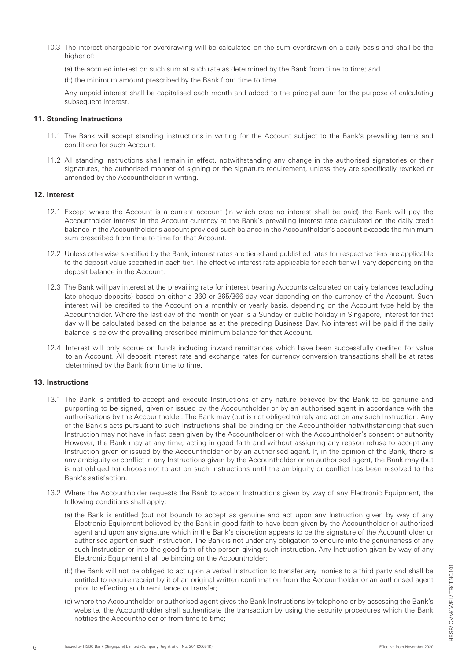10.3 The interest chargeable for overdrawing will be calculated on the sum overdrawn on a daily basis and shall be the higher of:

(a) the accrued interest on such sum at such rate as determined by the Bank from time to time; and

(b) the minimum amount prescribed by the Bank from time to time.

 Any unpaid interest shall be capitalised each month and added to the principal sum for the purpose of calculating subsequent interest.

#### **11. Standing Instructions**

- 11.1 The Bank will accept standing instructions in writing for the Account subject to the Bank's prevailing terms and conditions for such Account.
- 11.2 All standing instructions shall remain in effect, notwithstanding any change in the authorised signatories or their signatures, the authorised manner of signing or the signature requirement, unless they are specifically revoked or amended by the Accountholder in writing.

#### **12. Interest**

- 12.1 Except where the Account is a current account (in which case no interest shall be paid) the Bank will pay the Accountholder interest in the Account currency at the Bank's prevailing interest rate calculated on the daily credit balance in the Accountholder's account provided such balance in the Accountholder's account exceeds the minimum sum prescribed from time to time for that Account.
- 12.2 Unless otherwise specified by the Bank, interest rates are tiered and published rates for respective tiers are applicable to the deposit value specified in each tier. The effective interest rate applicable for each tier will vary depending on the deposit balance in the Account.
- 12.3 The Bank will pay interest at the prevailing rate for interest bearing Accounts calculated on daily balances (excluding late cheque deposits) based on either a 360 or 365/366-day year depending on the currency of the Account. Such interest will be credited to the Account on a monthly or yearly basis, depending on the Account type held by the Accountholder. Where the last day of the month or year is a Sunday or public holiday in Singapore, interest for that day will be calculated based on the balance as at the preceding Business Day. No interest will be paid if the daily balance is below the prevailing prescribed minimum balance for that Account.
- 12.4 Interest will only accrue on funds including inward remittances which have been successfully credited for value to an Account. All deposit interest rate and exchange rates for currency conversion transactions shall be at rates determined by the Bank from time to time.

#### **13. Instructions**

- 13.1 The Bank is entitled to accept and execute Instructions of any nature believed by the Bank to be genuine and purporting to be signed, given or issued by the Accountholder or by an authorised agent in accordance with the authorisations by the Accountholder. The Bank may (but is not obliged to) rely and act on any such Instruction. Any of the Bank's acts pursuant to such Instructions shall be binding on the Accountholder notwithstanding that such Instruction may not have in fact been given by the Accountholder or with the Accountholder's consent or authority However, the Bank may at any time, acting in good faith and without assigning any reason refuse to accept any Instruction given or issued by the Accountholder or by an authorised agent. If, in the opinion of the Bank, there is any ambiguity or conflict in any Instructions given by the Accountholder or an authorised agent, the Bank may (but is not obliged to) choose not to act on such instructions until the ambiguity or conflict has been resolved to the Bank's satisfaction.
- 13.2 Where the Accountholder requests the Bank to accept Instructions given by way of any Electronic Equipment, the following conditions shall apply:
	- (a) the Bank is entitled (but not bound) to accept as genuine and act upon any Instruction given by way of any Electronic Equipment believed by the Bank in good faith to have been given by the Accountholder or authorised agent and upon any signature which in the Bank's discretion appears to be the signature of the Accountholder or authorised agent on such Instruction. The Bank is not under any obligation to enquire into the genuineness of any such Instruction or into the good faith of the person giving such instruction. Any Instruction given by way of any Electronic Equipment shall be binding on the Accountholder;
	- (b) the Bank will not be obliged to act upon a verbal Instruction to transfer any monies to a third party and shall be entitled to require receipt by it of an original written confirmation from the Accountholder or an authorised agent prior to effecting such remittance or transfer;
	- (c) where the Accountholder or authorised agent gives the Bank Instructions by telephone or by assessing the Bank's website, the Accountholder shall authenticate the transaction by using the security procedures which the Bank notifies the Accountholder of from time to time;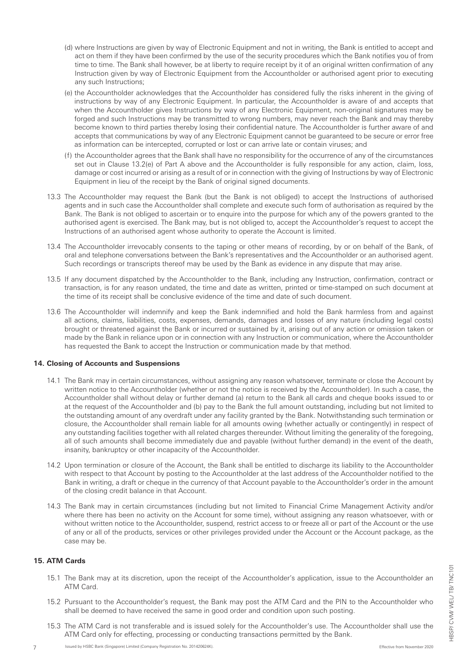- (d) where Instructions are given by way of Electronic Equipment and not in writing, the Bank is entitled to accept and act on them if they have been confirmed by the use of the security procedures which the Bank notifies you of from time to time. The Bank shall however, be at liberty to require receipt by it of an original written confirmation of any Instruction given by way of Electronic Equipment from the Accountholder or authorised agent prior to executing any such Instructions;
- (e) the Accountholder acknowledges that the Accountholder has considered fully the risks inherent in the giving of instructions by way of any Electronic Equipment. In particular, the Accountholder is aware of and accepts that when the Accountholder gives Instructions by way of any Electronic Equipment, non-original signatures may be forged and such Instructions may be transmitted to wrong numbers, may never reach the Bank and may thereby become known to third parties thereby losing their confidential nature. The Accountholder is further aware of and accepts that communications by way of any Electronic Equipment cannot be guaranteed to be secure or error free as information can be intercepted, corrupted or lost or can arrive late or contain viruses; and
- (f) the Accountholder agrees that the Bank shall have no responsibility for the occurrence of any of the circumstances set out in Clause 13.2(e) of Part A above and the Accountholder is fully responsible for any action, claim, loss, damage or cost incurred or arising as a result of or in connection with the giving of Instructions by way of Electronic Equipment in lieu of the receipt by the Bank of original signed documents.
- 13.3 The Accountholder may request the Bank (but the Bank is not obliged) to accept the Instructions of authorised agents and in such case the Accountholder shall complete and execute such form of authorisation as required by the Bank. The Bank is not obliged to ascertain or to enquire into the purpose for which any of the powers granted to the authorised agent is exercised. The Bank may, but is not obliged to, accept the Accountholder's request to accept the Instructions of an authorised agent whose authority to operate the Account is limited.
- 13.4 The Accountholder irrevocably consents to the taping or other means of recording, by or on behalf of the Bank, of oral and telephone conversations between the Bank's representatives and the Accountholder or an authorised agent. Such recordings or transcripts thereof may be used by the Bank as evidence in any dispute that may arise.
- 13.5 If any document dispatched by the Accountholder to the Bank, including any Instruction, confirmation, contract or transaction, is for any reason undated, the time and date as written, printed or time-stamped on such document at the time of its receipt shall be conclusive evidence of the time and date of such document.
- 13.6 The Accountholder will indemnify and keep the Bank indemnified and hold the Bank harmless from and against all actions, claims, liabilities, costs, expenses, demands, damages and losses of any nature (including legal costs) brought or threatened against the Bank or incurred or sustained by it, arising out of any action or omission taken or made by the Bank in reliance upon or in connection with any Instruction or communication, where the Accountholder has requested the Bank to accept the Instruction or communication made by that method.

# **14. Closing of Accounts and Suspensions**

- 14.1 The Bank may in certain circumstances, without assigning any reason whatsoever, terminate or close the Account by written notice to the Accountholder (whether or not the notice is received by the Accountholder). In such a case, the Accountholder shall without delay or further demand (a) return to the Bank all cards and cheque books issued to or at the request of the Accountholder and (b) pay to the Bank the full amount outstanding, including but not limited to the outstanding amount of any overdraft under any facility granted by the Bank. Notwithstanding such termination or closure, the Accountholder shall remain liable for all amounts owing (whether actually or contingently) in respect of any outstanding facilities together with all related charges thereunder. Without limiting the generality of the foregoing, all of such amounts shall become immediately due and payable (without further demand) in the event of the death, insanity, bankruptcy or other incapacity of the Accountholder.
- 14.2 Upon termination or closure of the Account, the Bank shall be entitled to discharge its liability to the Accountholder with respect to that Account by posting to the Accountholder at the last address of the Accountholder notified to the Bank in writing, a draft or cheque in the currency of that Account payable to the Accountholder's order in the amount of the closing credit balance in that Account.
- 14.3 The Bank may in certain circumstances (including but not limited to Financial Crime Management Activity and/or where there has been no activity on the Account for some time), without assigning any reason whatsoever, with or without written notice to the Accountholder, suspend, restrict access to or freeze all or part of the Account or the use of any or all of the products, services or other privileges provided under the Account or the Account package, as the case may be.

# **15. ATM Cards**

- 15.1 The Bank may at its discretion, upon the receipt of the Accountholder's application, issue to the Accountholder an ATM Card.
- 15.2 Pursuant to the Accountholder's request, the Bank may post the ATM Card and the PIN to the Accountholder who shall be deemed to have received the same in good order and condition upon such posting.
- 15.3 The ATM Card is not transferable and is issued solely for the Accountholder's use. The Accountholder shall use the ATM Card only for effecting, processing or conducting transactions permitted by the Bank.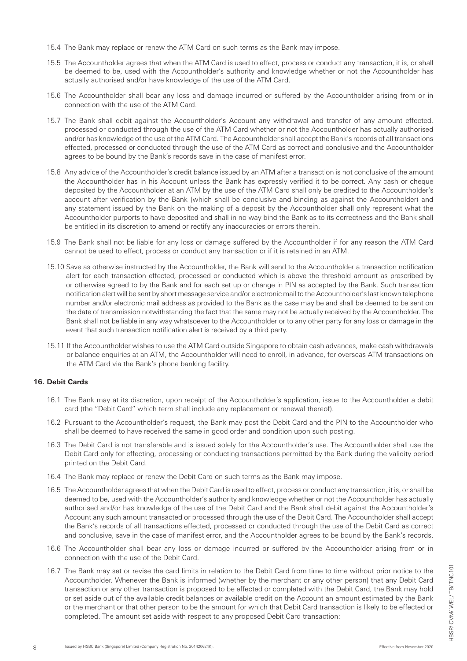- 15.4 The Bank may replace or renew the ATM Card on such terms as the Bank may impose.
- 15.5 The Accountholder agrees that when the ATM Card is used to effect, process or conduct any transaction, it is, or shall be deemed to be, used with the Accountholder's authority and knowledge whether or not the Accountholder has actually authorised and/or have knowledge of the use of the ATM Card.
- 15.6 The Accountholder shall bear any loss and damage incurred or suffered by the Accountholder arising from or in connection with the use of the ATM Card.
- 15.7 The Bank shall debit against the Accountholder's Account any withdrawal and transfer of any amount effected, processed or conducted through the use of the ATM Card whether or not the Accountholder has actually authorised and/or has knowledge of the use of the ATM Card. The Accountholder shall accept the Bank's records of all transactions effected, processed or conducted through the use of the ATM Card as correct and conclusive and the Accountholder agrees to be bound by the Bank's records save in the case of manifest error.
- 15.8 Any advice of the Accountholder's credit balance issued by an ATM after a transaction is not conclusive of the amount the Accountholder has in his Account unless the Bank has expressly verified it to be correct. Any cash or cheque deposited by the Accountholder at an ATM by the use of the ATM Card shall only be credited to the Accountholder's account after verification by the Bank (which shall be conclusive and binding as against the Accountholder) and any statement issued by the Bank on the making of a deposit by the Accountholder shall only represent what the Accountholder purports to have deposited and shall in no way bind the Bank as to its correctness and the Bank shall be entitled in its discretion to amend or rectify any inaccuracies or errors therein.
- 15.9 The Bank shall not be liable for any loss or damage suffered by the Accountholder if for any reason the ATM Card cannot be used to effect, process or conduct any transaction or if it is retained in an ATM.
- 15.10 Save as otherwise instructed by the Accountholder, the Bank will send to the Accountholder a transaction notification alert for each transaction effected, processed or conducted which is above the threshold amount as prescribed by or otherwise agreed to by the Bank and for each set up or change in PIN as accepted by the Bank. Such transaction notification alert will be sent by short message service and/or electronic mail to the Accountholder's last known telephone number and/or electronic mail address as provided to the Bank as the case may be and shall be deemed to be sent on the date of transmission notwithstanding the fact that the same may not be actually received by the Accountholder. The Bank shall not be liable in any way whatsoever to the Accountholder or to any other party for any loss or damage in the event that such transaction notification alert is received by a third party.
- 15.11 If the Accountholder wishes to use the ATM Card outside Singapore to obtain cash advances, make cash withdrawals or balance enquiries at an ATM, the Accountholder will need to enroll, in advance, for overseas ATM transactions on the ATM Card via the Bank's phone banking facility.

# **16. Debit Cards**

- 16.1 The Bank may at its discretion, upon receipt of the Accountholder's application, issue to the Accountholder a debit card (the "Debit Card" which term shall include any replacement or renewal thereof).
- 16.2 Pursuant to the Accountholder's request, the Bank may post the Debit Card and the PIN to the Accountholder who shall be deemed to have received the same in good order and condition upon such posting.
- 16.3 The Debit Card is not transferable and is issued solely for the Accountholder's use. The Accountholder shall use the Debit Card only for effecting, processing or conducting transactions permitted by the Bank during the validity period printed on the Debit Card.
- 16.4 The Bank may replace or renew the Debit Card on such terms as the Bank may impose.
- 16.5 The Accountholder agrees that when the Debit Card is used to effect, process or conduct any transaction, it is, or shall be deemed to be, used with the Accountholder's authority and knowledge whether or not the Accountholder has actually authorised and/or has knowledge of the use of the Debit Card and the Bank shall debit against the Accountholder's Account any such amount transacted or processed through the use of the Debit Card. The Accountholder shall accept the Bank's records of all transactions effected, processed or conducted through the use of the Debit Card as correct and conclusive, save in the case of manifest error, and the Accountholder agrees to be bound by the Bank's records.
- 16.6 The Accountholder shall bear any loss or damage incurred or suffered by the Accountholder arising from or in connection with the use of the Debit Card.
- 16.7 The Bank may set or revise the card limits in relation to the Debit Card from time to time without prior notice to the Accountholder. Whenever the Bank is informed (whether by the merchant or any other person) that any Debit Card transaction or any other transaction is proposed to be effected or completed with the Debit Card, the Bank may hold or set aside out of the available credit balances or available credit on the Account an amount estimated by the Bank or the merchant or that other person to be the amount for which that Debit Card transaction is likely to be effected or completed. The amount set aside with respect to any proposed Debit Card transaction: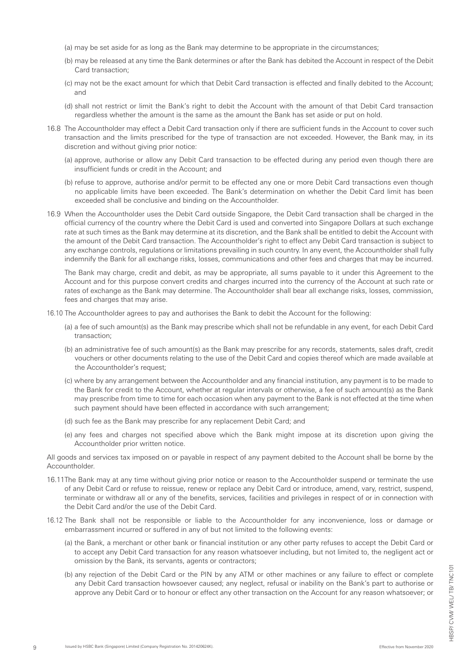- (a) may be set aside for as long as the Bank may determine to be appropriate in the circumstances;
- (b) may be released at any time the Bank determines or after the Bank has debited the Account in respect of the Debit Card transaction;
- (c) may not be the exact amount for which that Debit Card transaction is effected and finally debited to the Account; and
- (d) shall not restrict or limit the Bank's right to debit the Account with the amount of that Debit Card transaction regardless whether the amount is the same as the amount the Bank has set aside or put on hold.
- 16.8 The Accountholder may effect a Debit Card transaction only if there are sufficient funds in the Account to cover such transaction and the limits prescribed for the type of transaction are not exceeded. However, the Bank may, in its discretion and without giving prior notice:
	- (a) approve, authorise or allow any Debit Card transaction to be effected during any period even though there are insufficient funds or credit in the Account; and
	- (b) refuse to approve, authorise and/or permit to be effected any one or more Debit Card transactions even though no applicable limits have been exceeded. The Bank's determination on whether the Debit Card limit has been exceeded shall be conclusive and binding on the Accountholder.
- 16.9 When the Accountholder uses the Debit Card outside Singapore, the Debit Card transaction shall be charged in the official currency of the country where the Debit Card is used and converted into Singapore Dollars at such exchange rate at such times as the Bank may determine at its discretion, and the Bank shall be entitled to debit the Account with the amount of the Debit Card transaction. The Accountholder's right to effect any Debit Card transaction is subject to any exchange controls, regulations or limitations prevailing in such country. In any event, the Accountholder shall fully indemnify the Bank for all exchange risks, losses, communications and other fees and charges that may be incurred.

 The Bank may charge, credit and debit, as may be appropriate, all sums payable to it under this Agreement to the Account and for this purpose convert credits and charges incurred into the currency of the Account at such rate or rates of exchange as the Bank may determine. The Accountholder shall bear all exchange risks, losses, commission, fees and charges that may arise.

- 16.10 The Accountholder agrees to pay and authorises the Bank to debit the Account for the following:
	- (a) a fee of such amount(s) as the Bank may prescribe which shall not be refundable in any event, for each Debit Card transaction;
	- (b) an administrative fee of such amount(s) as the Bank may prescribe for any records, statements, sales draft, credit vouchers or other documents relating to the use of the Debit Card and copies thereof which are made available at the Accountholder's request;
	- (c) where by any arrangement between the Accountholder and any financial institution, any payment is to be made to the Bank for credit to the Account, whether at regular intervals or otherwise, a fee of such amount(s) as the Bank may prescribe from time to time for each occasion when any payment to the Bank is not effected at the time when such payment should have been effected in accordance with such arrangement;
	- (d) such fee as the Bank may prescribe for any replacement Debit Card; and
	- (e) any fees and charges not specified above which the Bank might impose at its discretion upon giving the Accountholder prior written notice.

All goods and services tax imposed on or payable in respect of any payment debited to the Account shall be borne by the Accountholder.

- 16.11The Bank may at any time without giving prior notice or reason to the Accountholder suspend or terminate the use of any Debit Card or refuse to reissue, renew or replace any Debit Card or introduce, amend, vary, restrict, suspend, terminate or withdraw all or any of the benefits, services, facilities and privileges in respect of or in connection with the Debit Card and/or the use of the Debit Card.
- 16.12 The Bank shall not be responsible or liable to the Accountholder for any inconvenience, loss or damage or embarrassment incurred or suffered in any of but not limited to the following events:
	- (a) the Bank, a merchant or other bank or financial institution or any other party refuses to accept the Debit Card or to accept any Debit Card transaction for any reason whatsoever including, but not limited to, the negligent act or omission by the Bank, its servants, agents or contractors;
	- (b) any rejection of the Debit Card or the PIN by any ATM or other machines or any failure to effect or complete any Debit Card transaction howsoever caused; any neglect, refusal or inability on the Bank's part to authorise or approve any Debit Card or to honour or effect any other transaction on the Account for any reason whatsoever; or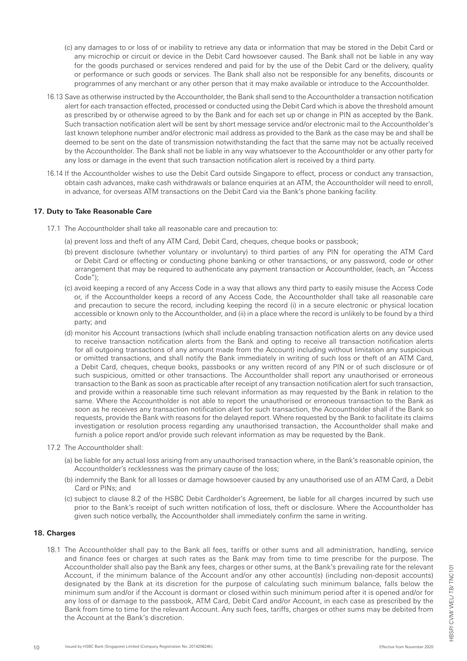- (c) any damages to or loss of or inability to retrieve any data or information that may be stored in the Debit Card or any microchip or circuit or device in the Debit Card howsoever caused. The Bank shall not be liable in any way for the goods purchased or services rendered and paid for by the use of the Debit Card or the delivery, quality or performance or such goods or services. The Bank shall also not be responsible for any benefits, discounts or programmes of any merchant or any other person that it may make available or introduce to the Accountholder.
- 16.13 Save as otherwise instructed by the Accountholder, the Bank shall send to the Accountholder a transaction notification alert for each transaction effected, processed or conducted using the Debit Card which is above the threshold amount as prescribed by or otherwise agreed to by the Bank and for each set up or change in PIN as accepted by the Bank. Such transaction notification alert will be sent by short message service and/or electronic mail to the Accountholder's last known telephone number and/or electronic mail address as provided to the Bank as the case may be and shall be deemed to be sent on the date of transmission notwithstanding the fact that the same may not be actually received by the Accountholder. The Bank shall not be liable in any way whatsoever to the Accountholder or any other party for any loss or damage in the event that such transaction notification alert is received by a third party.
- 16.14 If the Accountholder wishes to use the Debit Card outside Singapore to effect, process or conduct any transaction, obtain cash advances, make cash withdrawals or balance enquiries at an ATM, the Accountholder will need to enroll, in advance, for overseas ATM transactions on the Debit Card via the Bank's phone banking facility.

#### **17. Duty to Take Reasonable Care**

- 17.1 The Accountholder shall take all reasonable care and precaution to:
	- (a) prevent loss and theft of any ATM Card, Debit Card, cheques, cheque books or passbook;
	- (b) prevent disclosure (whether voluntary or involuntary) to third parties of any PIN for operating the ATM Card or Debit Card or effecting or conducting phone banking or other transactions, or any password, code or other arrangement that may be required to authenticate any payment transaction or Accountholder, (each, an "Access Code");
	- (c) avoid keeping a record of any Access Code in a way that allows any third party to easily misuse the Access Code or, if the Accountholder keeps a record of any Access Code, the Accountholder shall take all reasonable care and precaution to secure the record, including keeping the record (i) in a secure electronic or physical location accessible or known only to the Accountholder, and (ii) in a place where the record is unlikely to be found by a third party; and
	- (d) monitor his Account transactions (which shall include enabling transaction notification alerts on any device used to receive transaction notification alerts from the Bank and opting to receive all transaction notification alerts for all outgoing transactions of any amount made from the Account) including without limitation any suspicious or omitted transactions, and shall notify the Bank immediately in writing of such loss or theft of an ATM Card, a Debit Card, cheques, cheque books, passbooks or any written record of any PIN or of such disclosure or of such suspicious, omitted or other transactions. The Accountholder shall report any unauthorised or erroneous transaction to the Bank as soon as practicable after receipt of any transaction notification alert for such transaction, and provide within a reasonable time such relevant information as may requested by the Bank in relation to the same. Where the Accountholder is not able to report the unauthorised or erroneous transaction to the Bank as soon as he receives any transaction notification alert for such transaction, the Accountholder shall if the Bank so requests, provide the Bank with reasons for the delayed report. Where requested by the Bank to facilitate its claims investigation or resolution process regarding any unauthorised transaction, the Accountholder shall make and furnish a police report and/or provide such relevant information as may be requested by the Bank.
- 17.2 The Accountholder shall:
	- (a) be liable for any actual loss arising from any unauthorised transaction where, in the Bank's reasonable opinion, the Accountholder's recklessness was the primary cause of the loss;
	- (b) indemnify the Bank for all losses or damage howsoever caused by any unauthorised use of an ATM Card, a Debit Card or PINs; and
	- (c) subject to clause 8.2 of the HSBC Debit Cardholder's Agreement, be liable for all charges incurred by such use prior to the Bank's receipt of such written notification of loss, theft or disclosure. Where the Accountholder has given such notice verbally, the Accountholder shall immediately confirm the same in writing.

#### **18. Charges**

18.1 The Accountholder shall pay to the Bank all fees, tariffs or other sums and all administration, handling, service and finance fees or charges at such rates as the Bank may from time to time prescribe for the purpose. The Accountholder shall also pay the Bank any fees, charges or other sums, at the Bank's prevailing rate for the relevant Account, if the minimum balance of the Account and/or any other account(s) (including non-deposit accounts) designated by the Bank at its discretion for the purpose of calculating such minimum balance, falls below the minimum sum and/or if the Account is dormant or closed within such minimum period after it is opened and/or for any loss of or damage to the passbook, ATM Card, Debit Card and/or Account, in each case as prescribed by the Bank from time to time for the relevant Account. Any such fees, tariffs, charges or other sums may be debited from the Account at the Bank's discretion.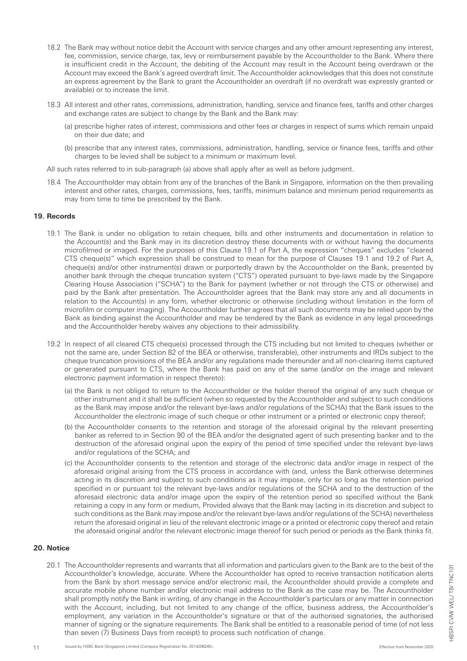- 18.2 The Bank may without notice debit the Account with service charges and any other amount representing any interest, fee, commission, service charge, tax, levy or reimbursement payable by the Accountholder to the Bank. Where there is insufficient credit in the Account, the debiting of the Account may result in the Account being overdrawn or the Account may exceed the Bank's agreed overdraft limit. The Accountholder acknowledges that this does not constitute an express agreement by the Bank to grant the Accountholder an overdraft (if no overdraft was expressly granted or available) or to increase the limit.
- 18.3 All interest and other rates, commissions, administration, handling, service and finance fees, tariffs and other charges and exchange rates are subject to change by the Bank and the Bank may:
	- (a) prescribe higher rates of interest, commissions and other fees or charges in respect of sums which remain unpaid on their due date; and
	- (b) prescribe that any interest rates, commissions, administration, handling, service or finance fees, tariffs and other charges to be levied shall be subject to a minimum or maximum level.

All such rates referred to in sub-paragraph (a) above shall apply after as well as before judgment.

18.4 The Accountholder may obtain from any of the branches of the Bank in Singapore, information on the then prevailing interest and other rates, charges, commissions, fees, tariffs, minimum balance and minimum period requirements as may from time to time be prescribed by the Bank.

#### **19. Records**

- 19.1 The Bank is under no obligation to retain cheques, bills and other instruments and documentation in relation to the Account(s) and the Bank may in its discretion destroy these documents with or without having the documents microfilmed or imaged. For the purposes of this Clause 19.1 of Part A, the expression "cheques" excludes "cleared CTS cheque(s)" which expression shall be construed to mean for the purpose of Clauses 19.1 and 19.2 of Part A, cheque(s) and/or other instrument(s) drawn or purportedly drawn by the Accountholder on the Bank, presented by another bank through the cheque truncation system ("CTS") operated pursuant to bye-laws made by the Singapore Clearing House Association ("SCHA") to the Bank for payment (whether or not through the CTS or otherwise) and paid by the Bank after presentation. The Accountholder agrees that the Bank may store any and all documents in relation to the Account(s) in any form, whether electronic or otherwise (including without limitation in the form of microfilm or computer imaging). The Accountholder further agrees that all such documents may be relied upon by the Bank as binding against the Accountholder and may be tendered by the Bank as evidence in any legal proceedings and the Accountholder hereby waives any objections to their admissibility.
- 19.2 In respect of all cleared CTS cheque(s) processed through the CTS including but not limited to cheques (whether or not the same are, under Section 82 of the BEA or otherwise, transferable), other instruments and IRDs subject to the cheque truncation provisions of the BEA and/or any regulations made thereunder and all non-clearing items captured or generated pursuant to CTS, where the Bank has paid on any of the same (and/or on the image and relevant electronic payment information in respect thereto):
	- (a) the Bank is not obliged to return to the Accountholder or the holder thereof the original of any such cheque or other instrument and it shall be sufficient (when so requested by the Accountholder and subject to such conditions as the Bank may impose and/or the relevant bye-laws and/or regulations of the SCHA) that the Bank issues to the Accountholder the electronic image of such cheque or other instrument or a printed or electronic copy thereof;
	- (b) the Accountholder consents to the retention and storage of the aforesaid original by the relevant presenting banker as referred to in Section 90 of the BEA and/or the designated agent of such presenting banker and to the destruction of the aforesaid original upon the expiry of the period of time specified under the relevant bye-laws and/or regulations of the SCHA; and
	- (c) the Accountholder consents to the retention and storage of the electronic data and/or image in respect of the aforesaid original arising from the CTS process in accordance with (and, unless the Bank otherwise determines acting in its discretion and subject to such conditions as it may impose, only for so long as the retention period specified in or pursuant to) the relevant bye-laws and/or regulations of the SCHA and to the destruction of the aforesaid electronic data and/or image upon the expiry of the retention period so specified without the Bank retaining a copy in any form or medium, Provided always that the Bank may (acting in its discretion and subject to such conditions as the Bank may impose and/or the relevant bye-laws and/or regulations of the SCHA) nevertheless return the aforesaid original in lieu of the relevant electronic image or a printed or electronic copy thereof and retain the aforesaid original and/or the relevant electronic image thereof for such period or periods as the Bank thinks fit.

#### **20. Notice**

20.1 The Accountholder represents and warrants that all information and particulars given to the Bank are to the best of the Accountholder's knowledge, accurate. Where the Accountholder has opted to receive transaction notification alerts from the Bank by short message service and/or electronic mail, the Accountholder should provide a complete and accurate mobile phone number and/or electronic mail address to the Bank as the case may be. The Accountholder shall promptly notify the Bank in writing, of any change in the Accountholder's particulars or any matter in connection with the Account, including, but not limited to any change of the office, business address, the Accountholder's employment, any variation in the Accountholder's signature or that of the authorised signatories, the authorised manner of signing or the signature requirements. The Bank shall be entitled to a reasonable period of time (of not less than seven (7) Business Days from receipt) to process such notification of change.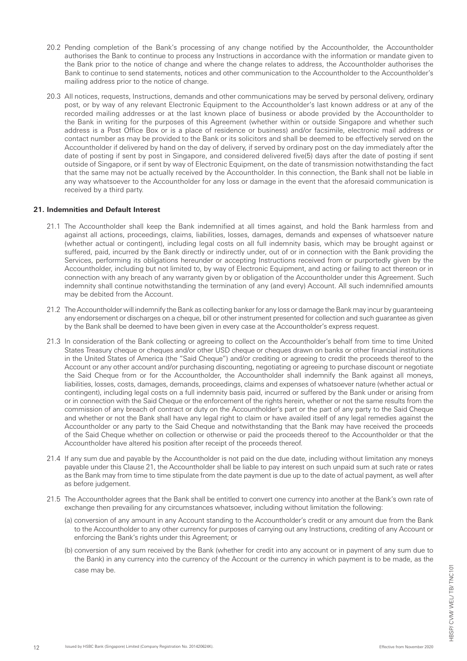- 20.2 Pending completion of the Bank's processing of any change notified by the Accountholder, the Accountholder authorises the Bank to continue to process any Instructions in accordance with the information or mandate given to the Bank prior to the notice of change and where the change relates to address, the Accountholder authorises the Bank to continue to send statements, notices and other communication to the Accountholder to the Accountholder's mailing address prior to the notice of change.
- 20.3 All notices, requests, Instructions, demands and other communications may be served by personal delivery, ordinary post, or by way of any relevant Electronic Equipment to the Accountholder's last known address or at any of the recorded mailing addresses or at the last known place of business or abode provided by the Accountholder to the Bank in writing for the purposes of this Agreement (whether within or outside Singapore and whether such address is a Post Office Box or is a place of residence or business) and/or facsimile, electronic mail address or contact number as may be provided to the Bank or its solicitors and shall be deemed to be effectively served on the Accountholder if delivered by hand on the day of delivery, if served by ordinary post on the day immediately after the date of posting if sent by post in Singapore, and considered delivered five(5) days after the date of posting if sent outside of Singapore, or if sent by way of Electronic Equipment, on the date of transmission notwithstanding the fact that the same may not be actually received by the Accountholder. In this connection, the Bank shall not be liable in any way whatsoever to the Accountholder for any loss or damage in the event that the aforesaid communication is received by a third party.

#### **21. Indemnities and Default Interest**

- 21.1 The Accountholder shall keep the Bank indemnified at all times against, and hold the Bank harmless from and against all actions, proceedings, claims, liabilities, losses, damages, demands and expenses of whatsoever nature (whether actual or contingent), including legal costs on all full indemnity basis, which may be brought against or suffered, paid, incurred by the Bank directly or indirectly under, out of or in connection with the Bank providing the Services, performing its obligations hereunder or accepting Instructions received from or purportedly given by the Accountholder, including but not limited to, by way of Electronic Equipment, and acting or failing to act thereon or in connection with any breach of any warranty given by or obligation of the Accountholder under this Agreement. Such indemnity shall continue notwithstanding the termination of any (and every) Account. All such indemnified amounts may be debited from the Account.
- 21.2 The Accountholder will indemnify the Bank as collecting banker for any loss or damage the Bank may incur by guaranteeing any endorsement or discharges on a cheque, bill or other instrument presented for collection and such guarantee as given by the Bank shall be deemed to have been given in every case at the Accountholder's express request.
- 21.3 In consideration of the Bank collecting or agreeing to collect on the Accountholder's behalf from time to time United States Treasury cheque or cheques and/or other USD cheque or cheques drawn on banks or other financial institutions in the United States of America (the "Said Cheque") and/or crediting or agreeing to credit the proceeds thereof to the Account or any other account and/or purchasing discounting, negotiating or agreeing to purchase discount or negotiate the Said Cheque from or for the Accountholder, the Accountholder shall indemnify the Bank against all moneys, liabilities, losses, costs, damages, demands, proceedings, claims and expenses of whatsoever nature (whether actual or contingent), including legal costs on a full indemnity basis paid, incurred or suffered by the Bank under or arising from or in connection with the Said Cheque or the enforcement of the rights herein, whether or not the same results from the commission of any breach of contract or duty on the Accountholder's part or the part of any party to the Said Cheque and whether or not the Bank shall have any legal right to claim or have availed itself of any legal remedies against the Accountholder or any party to the Said Cheque and notwithstanding that the Bank may have received the proceeds of the Said Cheque whether on collection or otherwise or paid the proceeds thereof to the Accountholder or that the Accountholder have altered his position after receipt of the proceeds thereof.
- 21.4 If any sum due and payable by the Accountholder is not paid on the due date, including without limitation any moneys payable under this Clause 21, the Accountholder shall be liable to pay interest on such unpaid sum at such rate or rates as the Bank may from time to time stipulate from the date payment is due up to the date of actual payment, as well after as before judgement.
- 21.5 The Accountholder agrees that the Bank shall be entitled to convert one currency into another at the Bank's own rate of exchange then prevailing for any circumstances whatsoever, including without limitation the following:
	- (a) conversion of any amount in any Account standing to the Accountholder's credit or any amount due from the Bank to the Accountholder to any other currency for purposes of carrying out any Instructions, crediting of any Account or enforcing the Bank's rights under this Agreement; or
	- (b) conversion of any sum received by the Bank (whether for credit into any account or in payment of any sum due to the Bank) in any currency into the currency of the Account or the currency in which payment is to be made, as the case may be.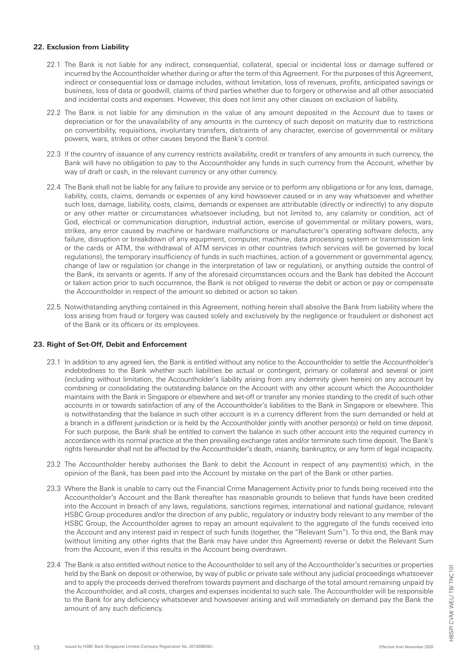#### **22. Exclusion from Liability**

- 22.1 The Bank is not liable for any indirect, consequential, collateral, special or incidental loss or damage suffered or incurred by the Accountholder whether during or after the term of this Agreement. For the purposes of this Agreement, indirect or consequential loss or damage includes, without limitation, loss of revenues, profits, anticipated savings or business, loss of data or goodwill, claims of third parties whether due to forgery or otherwise and all other associated and incidental costs and expenses. However, this does not limit any other clauses on exclusion of liability.
- 22.2 The Bank is not liable for any diminution in the value of any amount deposited in the Account due to taxes or depreciation or for the unavailability of any amounts in the currency of such deposit on maturity due to restrictions on convertibility, requisitions, involuntary transfers, distraints of any character, exercise of governmental or military powers, wars, strikes or other causes beyond the Bank's control.
- 22.3 If the country of issuance of any currency restricts availability, credit or transfers of any amounts in such currency, the Bank will have no obligation to pay to the Accountholder any funds in such currency from the Account, whether by way of draft or cash, in the relevant currency or any other currency.
- 22.4 The Bank shall not be liable for any failure to provide any service or to perform any obligations or for any loss, damage, liability, costs, claims, demands or expenses of any kind howsoever caused or in any way whatsoever and whether such loss, damage, liability, costs, claims, demands or expenses are attributable (directly or indirectly) to any dispute or any other matter or circumstances whatsoever including, but not limited to, any calamity or condition, act of God, electrical or communication disruption, industrial action, exercise of governmental or military powers, wars, strikes, any error caused by machine or hardware malfunctions or manufacturer's operating software defects, any failure, disruption or breakdown of any equipment, computer, machine, data processing system or transmission link or the cards or ATM, the withdrawal of ATM services in other countries (which services will be governed by local regulations), the temporary insufficiency of funds in such machines, action of a government or governmental agency, change of law or regulation (or change in the interpretation of law or regulation), or anything outside the control of the Bank, its servants or agents. If any of the aforesaid circumstances occurs and the Bank has debited the Account or taken action prior to such occurrence, the Bank is not obliged to reverse the debit or action or pay or compensate the Accountholder in respect of the amount so debited or action so taken.
- 22.5 Notwithstanding anything contained in this Agreement, nothing herein shall absolve the Bank from liability where the loss arising from fraud or forgery was caused solely and exclusively by the negligence or fraudulent or dishonest act of the Bank or its officers or its employees.

# **23. Right of Set-Off, Debit and Enforcement**

- 23.1 In addition to any agreed lien, the Bank is entitled without any notice to the Accountholder to settle the Accountholder's indebtedness to the Bank whether such liabilities be actual or contingent, primary or collateral and several or joint (including without limitation, the Accountholder's liability arising from any indemnity given herein) on any account by combining or consolidating the outstanding balance on the Account with any other account which the Accountholder maintains with the Bank in Singapore or elsewhere and set-off or transfer any monies standing to the credit of such other accounts in or towards satisfaction of any of the Accountholder's liabilities to the Bank in Singapore or elsewhere. This is notwithstanding that the balance in such other account is in a currency different from the sum demanded or held at a branch in a different jurisdiction or is held by the Accountholder jointly with another person(s) or held on time deposit. For such purpose, the Bank shall be entitled to convert the balance in such other account into the required currency in accordance with its normal practice at the then prevailing exchange rates and/or terminate such time deposit. The Bank's rights hereunder shall not be affected by the Accountholder's death, insanity, bankruptcy, or any form of legal incapacity.
- 23.2 The Accountholder hereby authorises the Bank to debit the Account in respect of any payment(s) which, in the opinion of the Bank, has been paid into the Account by mistake on the part of the Bank or other parties.
- 23.3 Where the Bank is unable to carry out the Financial Crime Management Activity prior to funds being received into the Accountholder's Account and the Bank thereafter has reasonable grounds to believe that funds have been credited into the Account in breach of any laws, regulations, sanctions regimes, international and national guidance, relevant HSBC Group procedures and/or the direction of any public, regulatory or industry body relevant to any member of the HSBC Group, the Accountholder agrees to repay an amount equivalent to the aggregate of the funds received into the Account and any interest paid in respect of such funds (together, the "Relevant Sum"). To this end, the Bank may (without limiting any other rights that the Bank may have under this Agreement) reverse or debit the Relevant Sum from the Account, even if this results in the Account being overdrawn.
- 23.4 The Bank is also entitled without notice to the Accountholder to sell any of the Accountholder's securities or properties held by the Bank on deposit or otherwise, by way of public or private sale without any judicial proceedings whatsoever and to apply the proceeds derived therefrom towards payment and discharge of the total amount remaining unpaid by the Accountholder, and all costs, charges and expenses incidental to such sale. The Accountholder will be responsible to the Bank for any deficiency whatsoever and howsoever arising and will immediately on demand pay the Bank the amount of any such deficiency.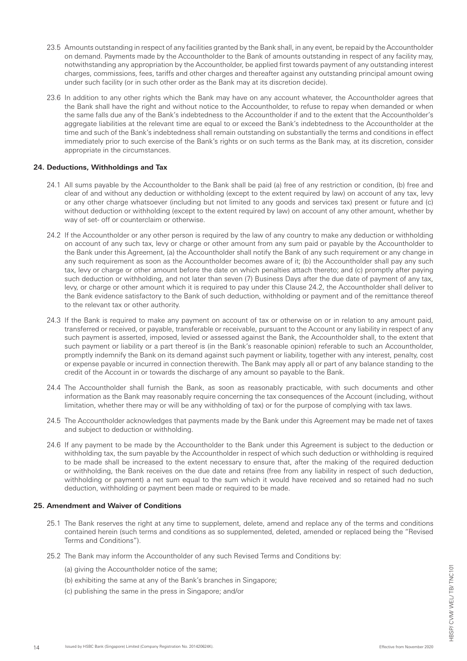- 23.5 Amounts outstanding in respect of any facilities granted by the Bank shall, in any event, be repaid by the Accountholder on demand. Payments made by the Accountholder to the Bank of amounts outstanding in respect of any facility may, notwithstanding any appropriation by the Accountholder, be applied first towards payment of any outstanding interest charges, commissions, fees, tariffs and other charges and thereafter against any outstanding principal amount owing under such facility (or in such other order as the Bank may at its discretion decide).
- 23.6 In addition to any other rights which the Bank may have on any account whatever, the Accountholder agrees that the Bank shall have the right and without notice to the Accountholder, to refuse to repay when demanded or when the same falls due any of the Bank's indebtedness to the Accountholder if and to the extent that the Accountholder's aggregate liabilities at the relevant time are equal to or exceed the Bank's indebtedness to the Accountholder at the time and such of the Bank's indebtedness shall remain outstanding on substantially the terms and conditions in effect immediately prior to such exercise of the Bank's rights or on such terms as the Bank may, at its discretion, consider appropriate in the circumstances.

# **24. Deductions, Withholdings and Tax**

- 24.1 All sums payable by the Accountholder to the Bank shall be paid (a) free of any restriction or condition, (b) free and clear of and without any deduction or withholding (except to the extent required by law) on account of any tax, levy or any other charge whatsoever (including but not limited to any goods and services tax) present or future and (c) without deduction or withholding (except to the extent required by law) on account of any other amount, whether by way of set- off or counterclaim or otherwise.
- 24.2 If the Accountholder or any other person is required by the law of any country to make any deduction or withholding on account of any such tax, levy or charge or other amount from any sum paid or payable by the Accountholder to the Bank under this Agreement, (a) the Accountholder shall notify the Bank of any such requirement or any change in any such requirement as soon as the Accountholder becomes aware of it; (b) the Accountholder shall pay any such tax, levy or charge or other amount before the date on which penalties attach thereto; and (c) promptly after paying such deduction or withholding, and not later than seven (7) Business Days after the due date of payment of any tax, levy, or charge or other amount which it is required to pay under this Clause 24.2, the Accountholder shall deliver to the Bank evidence satisfactory to the Bank of such deduction, withholding or payment and of the remittance thereof to the relevant tax or other authority.
- 24.3 If the Bank is required to make any payment on account of tax or otherwise on or in relation to any amount paid, transferred or received, or payable, transferable or receivable, pursuant to the Account or any liability in respect of any such payment is asserted, imposed, levied or assessed against the Bank, the Accountholder shall, to the extent that such payment or liability or a part thereof is (in the Bank's reasonable opinion) referable to such an Accountholder, promptly indemnify the Bank on its demand against such payment or liability, together with any interest, penalty, cost or expense payable or incurred in connection therewith. The Bank may apply all or part of any balance standing to the credit of the Account in or towards the discharge of any amount so payable to the Bank.
- 24.4 The Accountholder shall furnish the Bank, as soon as reasonably practicable, with such documents and other information as the Bank may reasonably require concerning the tax consequences of the Account (including, without limitation, whether there may or will be any withholding of tax) or for the purpose of complying with tax laws.
- 24.5 The Accountholder acknowledges that payments made by the Bank under this Agreement may be made net of taxes and subject to deduction or withholding.
- 24.6 If any payment to be made by the Accountholder to the Bank under this Agreement is subject to the deduction or withholding tax, the sum payable by the Accountholder in respect of which such deduction or withholding is required to be made shall be increased to the extent necessary to ensure that, after the making of the required deduction or withholding, the Bank receives on the due date and retains (free from any liability in respect of such deduction, withholding or payment) a net sum equal to the sum which it would have received and so retained had no such deduction, withholding or payment been made or required to be made.

#### **25. Amendment and Waiver of Conditions**

- 25.1 The Bank reserves the right at any time to supplement, delete, amend and replace any of the terms and conditions contained herein (such terms and conditions as so supplemented, deleted, amended or replaced being the "Revised Terms and Conditions").
- 25.2 The Bank may inform the Accountholder of any such Revised Terms and Conditions by:
	- (a) giving the Accountholder notice of the same;
	- (b) exhibiting the same at any of the Bank's branches in Singapore;
	- (c) publishing the same in the press in Singapore; and/or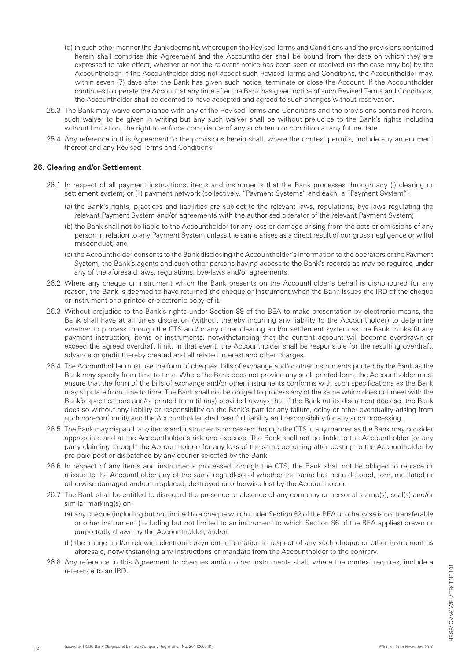- (d) in such other manner the Bank deems fit, whereupon the Revised Terms and Conditions and the provisions contained herein shall comprise this Agreement and the Accountholder shall be bound from the date on which they are expressed to take effect, whether or not the relevant notice has been seen or received (as the case may be) by the Accountholder. If the Accountholder does not accept such Revised Terms and Conditions, the Accountholder may, within seven (7) days after the Bank has given such notice, terminate or close the Account. If the Accountholder continues to operate the Account at any time after the Bank has given notice of such Revised Terms and Conditions, the Accountholder shall be deemed to have accepted and agreed to such changes without reservation.
- 25.3 The Bank may waive compliance with any of the Revised Terms and Conditions and the provisions contained herein, such waiver to be given in writing but any such waiver shall be without prejudice to the Bank's rights including without limitation, the right to enforce compliance of any such term or condition at any future date.
- 25.4 Any reference in this Agreement to the provisions herein shall, where the context permits, include any amendment thereof and any Revised Terms and Conditions.

#### **26. Clearing and/or Settlement**

- 26.1 In respect of all payment instructions, items and instruments that the Bank processes through any (i) clearing or settlement system; or (ii) payment network (collectively, "Payment Systems" and each, a "Payment System"):
	- (a) the Bank's rights, practices and liabilities are subject to the relevant laws, regulations, bye-laws regulating the relevant Payment System and/or agreements with the authorised operator of the relevant Payment System;
	- (b) the Bank shall not be liable to the Accountholder for any loss or damage arising from the acts or omissions of any person in relation to any Payment System unless the same arises as a direct result of our gross negligence or wilful misconduct; and
	- (c) the Accountholder consents to the Bank disclosing the Accountholder's information to the operators of the Payment System, the Bank's agents and such other persons having access to the Bank's records as may be required under any of the aforesaid laws, regulations, bye-laws and/or agreements.
- 26.2 Where any cheque or instrument which the Bank presents on the Accountholder's behalf is dishonoured for any reason, the Bank is deemed to have returned the cheque or instrument when the Bank issues the IRD of the cheque or instrument or a printed or electronic copy of it.
- 26.3 Without prejudice to the Bank's rights under Section 89 of the BEA to make presentation by electronic means, the Bank shall have at all times discretion (without thereby incurring any liability to the Accountholder) to determine whether to process through the CTS and/or any other clearing and/or settlement system as the Bank thinks fit any payment instruction, items or instruments, notwithstanding that the current account will become overdrawn or exceed the agreed overdraft limit. In that event, the Accountholder shall be responsible for the resulting overdraft, advance or credit thereby created and all related interest and other charges.
- 26.4 The Accountholder must use the form of cheques, bills of exchange and/or other instruments printed by the Bank as the Bank may specify from time to time. Where the Bank does not provide any such printed form, the Accountholder must ensure that the form of the bills of exchange and/or other instruments conforms with such specifications as the Bank may stipulate from time to time. The Bank shall not be obliged to process any of the same which does not meet with the Bank's specifications and/or printed form (if any) provided always that if the Bank (at its discretion) does so, the Bank does so without any liability or responsibility on the Bank's part for any failure, delay or other eventuality arising from such non-conformity and the Accountholder shall bear full liability and responsibility for any such processing.
- 26.5 The Bank may dispatch any items and instruments processed through the CTS in any manner as the Bank may consider appropriate and at the Accountholder's risk and expense. The Bank shall not be liable to the Accountholder (or any party claiming through the Accountholder) for any loss of the same occurring after posting to the Accountholder by pre-paid post or dispatched by any courier selected by the Bank.
- 26.6 In respect of any items and instruments processed through the CTS, the Bank shall not be obliged to replace or reissue to the Accountholder any of the same regardless of whether the same has been defaced, torn, mutilated or otherwise damaged and/or misplaced, destroyed or otherwise lost by the Accountholder.
- 26.7 The Bank shall be entitled to disregard the presence or absence of any company or personal stamp(s), seal(s) and/or similar marking(s) on:
	- (a) any cheque (including but not limited to a cheque which under Section 82 of the BEA or otherwise is not transferable or other instrument (including but not limited to an instrument to which Section 86 of the BEA applies) drawn or purportedly drawn by the Accountholder; and/or
	- (b) the image and/or relevant electronic payment information in respect of any such cheque or other instrument as aforesaid, notwithstanding any instructions or mandate from the Accountholder to the contrary.
- 26.8 Any reference in this Agreement to cheques and/or other instruments shall, where the context requires, include a reference to an IRD.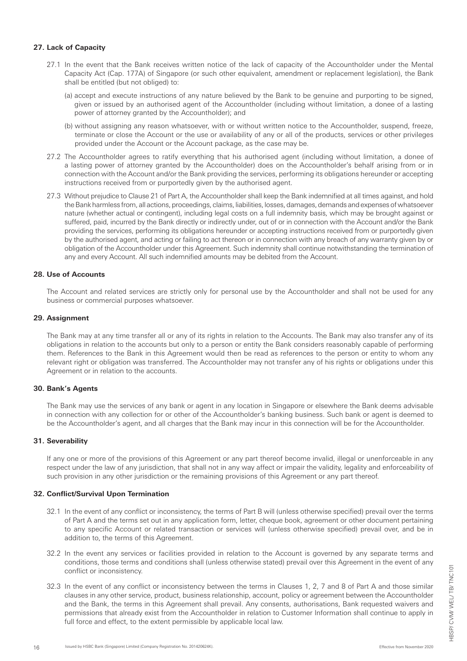#### **27. Lack of Capacity**

- 27.1 In the event that the Bank receives written notice of the lack of capacity of the Accountholder under the Mental Capacity Act (Cap. 177A) of Singapore (or such other equivalent, amendment or replacement legislation), the Bank shall be entitled (but not obliged) to:
	- (a) accept and execute instructions of any nature believed by the Bank to be genuine and purporting to be signed, given or issued by an authorised agent of the Accountholder (including without limitation, a donee of a lasting power of attorney granted by the Accountholder); and
	- (b) without assigning any reason whatsoever, with or without written notice to the Accountholder, suspend, freeze, terminate or close the Account or the use or availability of any or all of the products, services or other privileges provided under the Account or the Account package, as the case may be.
- 27.2 The Accountholder agrees to ratify everything that his authorised agent (including without limitation, a donee of a lasting power of attorney granted by the Accountholder) does on the Accountholder's behalf arising from or in connection with the Account and/or the Bank providing the services, performing its obligations hereunder or accepting instructions received from or purportedly given by the authorised agent.
- 27.3 Without prejudice to Clause 21 of Part A, the Accountholder shall keep the Bank indemnified at all times against, and hold the Bank harmless from, all actions, proceedings, claims, liabilities, losses, damages, demands and expenses of whatsoever nature (whether actual or contingent), including legal costs on a full indemnity basis, which may be brought against or suffered, paid, incurred by the Bank directly or indirectly under, out of or in connection with the Account and/or the Bank providing the services, performing its obligations hereunder or accepting instructions received from or purportedly given by the authorised agent, and acting or failing to act thereon or in connection with any breach of any warranty given by or obligation of the Accountholder under this Agreement. Such indemnity shall continue notwithstanding the termination of any and every Account. All such indemnified amounts may be debited from the Account.

# **28. Use of Accounts**

The Account and related services are strictly only for personal use by the Accountholder and shall not be used for any business or commercial purposes whatsoever.

#### **29. Assignment**

The Bank may at any time transfer all or any of its rights in relation to the Accounts. The Bank may also transfer any of its obligations in relation to the accounts but only to a person or entity the Bank considers reasonably capable of performing them. References to the Bank in this Agreement would then be read as references to the person or entity to whom any relevant right or obligation was transferred. The Accountholder may not transfer any of his rights or obligations under this Agreement or in relation to the accounts.

#### **30. Bank's Agents**

The Bank may use the services of any bank or agent in any location in Singapore or elsewhere the Bank deems advisable in connection with any collection for or other of the Accountholder's banking business. Such bank or agent is deemed to be the Accountholder's agent, and all charges that the Bank may incur in this connection will be for the Accountholder.

# **31. Severability**

If any one or more of the provisions of this Agreement or any part thereof become invalid, illegal or unenforceable in any respect under the law of any jurisdiction, that shall not in any way affect or impair the validity, legality and enforceability of such provision in any other jurisdiction or the remaining provisions of this Agreement or any part thereof.

# **32. Conflict/Survival Upon Termination**

- 32.1 In the event of any conflict or inconsistency, the terms of Part B will (unless otherwise specified) prevail over the terms of Part A and the terms set out in any application form, letter, cheque book, agreement or other document pertaining to any specific Account or related transaction or services will (unless otherwise specified) prevail over, and be in addition to, the terms of this Agreement.
- 32.2 In the event any services or facilities provided in relation to the Account is governed by any separate terms and conditions, those terms and conditions shall (unless otherwise stated) prevail over this Agreement in the event of any conflict or inconsistency.
- 32.3 In the event of any conflict or inconsistency between the terms in Clauses 1, 2, 7 and 8 of Part A and those similar clauses in any other service, product, business relationship, account, policy or agreement between the Accountholder and the Bank, the terms in this Agreement shall prevail. Any consents, authorisations, Bank requested waivers and permissions that already exist from the Accountholder in relation to Customer Information shall continue to apply in full force and effect, to the extent permissible by applicable local law.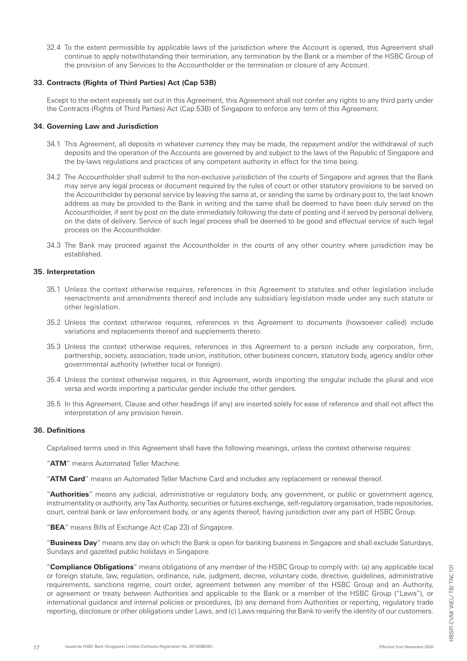32.4 To the extent permissible by applicable laws of the jurisdiction where the Account is opened, this Agreement shall continue to apply notwithstanding their termination, any termination by the Bank or a member of the HSBC Group of the provision of any Services to the Accountholder or the termination or closure of any Account.

#### **33. Contracts (Rights of Third Parties) Act (Cap 53B)**

Except to the extent expressly set out in this Agreement, this Agreement shall not confer any rights to any third party under the Contracts (Rights of Third Parties) Act (Cap 53B) of Singapore to enforce any term of this Agreement.

#### **34. Governing Law and Jurisdiction**

- 34.1 This Agreement, all deposits in whatever currency they may be made, the repayment and/or the withdrawal of such deposits and the operation of the Accounts are governed by and subject to the laws of the Republic of Singapore and the by-laws regulations and practices of any competent authority in effect for the time being.
- 34.2 The Accountholder shall submit to the non-exclusive jurisdiction of the courts of Singapore and agrees that the Bank may serve any legal process or document required by the rules of court or other statutory provisions to be served on the Accountholder by personal service by leaving the same at, or sending the same by ordinary post to, the last known address as may be provided to the Bank in writing and the same shall be deemed to have been duly served on the Accountholder, if sent by post on the date immediately following the date of posting and if served by personal delivery, on the date of delivery. Service of such legal process shall be deemed to be good and effectual service of such legal process on the Accountholder.
- 34.3 The Bank may proceed against the Accountholder in the courts of any other country where jurisdiction may be established.

# **35. Interpretation**

- 35.1 Unless the context otherwise requires, references in this Agreement to statutes and other legislation include reenactments and amendments thereof and include any subsidiary legislation made under any such statute or other legislation.
- 35.2 Unless the context otherwise requires, references in this Agreement to documents (howsoever called) include variations and replacements thereof and supplements thereto.
- 35.3 Unless the context otherwise requires, references in this Agreement to a person include any corporation, firm, partnership, society, association, trade union, institution, other business concern, statutory body, agency and/or other governmental authority (whether local or foreign).
- 35.4 Unless the context otherwise requires, in this Agreement, words importing the singular include the plural and vice versa and words importing a particular gender include the other genders.
- 35.5 In this Agreement, Clause and other headings (if any) are inserted solely for ease of reference and shall not affect the interpretation of any provision herein.

#### **36. Definitions**

Capitalised terms used in this Agreement shall have the following meanings, unless the context otherwise requires:

"**ATM**" means Automated Teller Machine.

"**ATM Card**" means an Automated Teller Machine Card and includes any replacement or renewal thereof.

"**Authorities**" means any judicial, administrative or regulatory body, any government, or public or government agency, instrumentality or authority, any Tax Authority, securities or futures exchange, self-regulatory organisation, trade repositories, court, central bank or law enforcement body, or any agents thereof, having jurisdiction over any part of HSBC Group.

"**BEA**" means Bills of Exchange Act (Cap 23) of Singapore.

"**Business Day**" means any day on which the Bank is open for banking business in Singapore and shall exclude Saturdays, Sundays and gazetted public holidays in Singapore.

"**Compliance Obligations**" means obligations of any member of the HSBC Group to comply with: (a) any applicable local or foreign statute, law, regulation, ordinance, rule, judgment, decree, voluntary code, directive, guidelines, administrative requirements, sanctions regime, court order, agreement between any member of the HSBC Group and an Authority, or agreement or treaty between Authorities and applicable to the Bank or a member of the HSBC Group ("Laws"), or international guidance and internal policies or procedures, (b) any demand from Authorities or reporting, regulatory trade reporting, disclosure or other obligations under Laws, and (c) Laws requiring the Bank to verify the identity of our customers.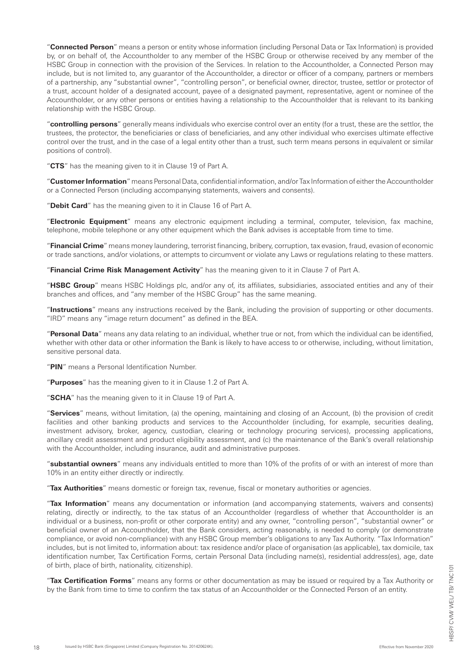"**Connected Person**" means a person or entity whose information (including Personal Data or Tax Information) is provided by, or on behalf of, the Accountholder to any member of the HSBC Group or otherwise received by any member of the HSBC Group in connection with the provision of the Services. In relation to the Accountholder, a Connected Person may include, but is not limited to, any guarantor of the Accountholder, a director or officer of a company, partners or members of a partnership, any "substantial owner", "controlling person", or beneficial owner, director, trustee, settlor or protector of a trust, account holder of a designated account, payee of a designated payment, representative, agent or nominee of the Accountholder, or any other persons or entities having a relationship to the Accountholder that is relevant to its banking relationship with the HSBC Group.

"**controlling persons**" generally means individuals who exercise control over an entity (for a trust, these are the settlor, the trustees, the protector, the beneficiaries or class of beneficiaries, and any other individual who exercises ultimate effective control over the trust, and in the case of a legal entity other than a trust, such term means persons in equivalent or similar positions of control).

"**CTS**" has the meaning given to it in Clause 19 of Part A.

"**Customer Information**" means Personal Data, confidential information, and/or Tax Information of either the Accountholder or a Connected Person (including accompanying statements, waivers and consents).

"**Debit Card**" has the meaning given to it in Clause 16 of Part A.

"**Electronic Equipment**" means any electronic equipment including a terminal, computer, television, fax machine, telephone, mobile telephone or any other equipment which the Bank advises is acceptable from time to time.

"**Financial Crime**" means money laundering, terrorist financing, bribery, corruption, tax evasion, fraud, evasion of economic or trade sanctions, and/or violations, or attempts to circumvent or violate any Laws or regulations relating to these matters.

"**Financial Crime Risk Management Activity**" has the meaning given to it in Clause 7 of Part A.

"**HSBC Group**" means HSBC Holdings plc, and/or any of, its affiliates, subsidiaries, associated entities and any of their branches and offices, and "any member of the HSBC Group" has the same meaning.

"**Instructions**" means any instructions received by the Bank, including the provision of supporting or other documents. "IRD" means any "image return document" as defined in the BEA.

"**Personal Data**" means any data relating to an individual, whether true or not, from which the individual can be identified, whether with other data or other information the Bank is likely to have access to or otherwise, including, without limitation, sensitive personal data.

"**PIN**" means a Personal Identification Number.

"**Purposes**" has the meaning given to it in Clause 1.2 of Part A.

"**SCHA**" has the meaning given to it in Clause 19 of Part A.

"**Services**" means, without limitation, (a) the opening, maintaining and closing of an Account, (b) the provision of credit facilities and other banking products and services to the Accountholder (including, for example, securities dealing, investment advisory, broker, agency, custodian, clearing or technology procuring services), processing applications, ancillary credit assessment and product eligibility assessment, and (c) the maintenance of the Bank's overall relationship with the Accountholder, including insurance, audit and administrative purposes.

"**substantial owners**" means any individuals entitled to more than 10% of the profits of or with an interest of more than 10% in an entity either directly or indirectly.

"**Tax Authorities**" means domestic or foreign tax, revenue, fiscal or monetary authorities or agencies.

"**Tax Information**" means any documentation or information (and accompanying statements, waivers and consents) relating, directly or indirectly, to the tax status of an Accountholder (regardless of whether that Accountholder is an individual or a business, non-profit or other corporate entity) and any owner, "controlling person", "substantial owner" or beneficial owner of an Accountholder, that the Bank considers, acting reasonably, is needed to comply (or demonstrate compliance, or avoid non-compliance) with any HSBC Group member's obligations to any Tax Authority. "Tax Information" includes, but is not limited to, information about: tax residence and/or place of organisation (as applicable), tax domicile, tax identification number, Tax Certification Forms, certain Personal Data (including name(s), residential address(es), age, date of birth, place of birth, nationality, citizenship).

"**Tax Certification Forms**" means any forms or other documentation as may be issued or required by a Tax Authority or by the Bank from time to time to confirm the tax status of an Accountholder or the Connected Person of an entity.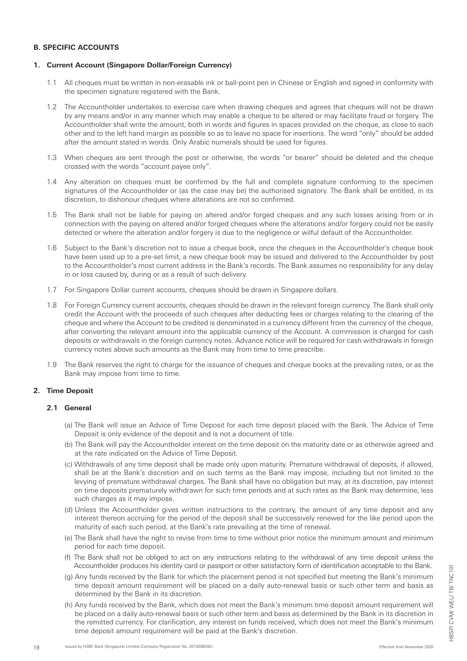# **B. SPECIFIC ACCOUNTS**

#### **1. Current Account (Singapore Dollar/Foreign Currency)**

- 1.1 All cheques must be written in non-erasable ink or ball-point pen in Chinese or English and signed in conformity with the specimen signature registered with the Bank.
- 1.2 The Accountholder undertakes to exercise care when drawing cheques and agrees that cheques will not be drawn by any means and/or in any manner which may enable a cheque to be altered or may facilitate fraud or forgery. The Accountholder shall write the amount, both in words and figures in spaces provided on the cheque, as close to each other and to the left hand margin as possible so as to leave no space for insertions. The word "only" should be added after the amount stated in words. Only Arabic numerals should be used for figures.
- 1.3 When cheques are sent through the post or otherwise, the words "or bearer" should be deleted and the cheque crossed with the words "account payee only".
- 1.4 Any alteration on cheques must be confirmed by the full and complete signature conforming to the specimen signatures of the Accountholder or (as the case may be) the authorised signatory. The Bank shall be entitled, in its discretion, to dishonour cheques where alterations are not so confirmed.
- 1.5 The Bank shall not be liable for paying on altered and/or forged cheques and any such losses arising from or in connection with the paying on altered and/or forged cheques where the alterations and/or forgery could not be easily detected or where the alteration and/or forgery is due to the negligence or wilful default of the Accountholder.
- 1.6 Subject to the Bank's discretion not to issue a cheque book, once the cheques in the Accountholder's cheque book have been used up to a pre-set limit, a new cheque book may be issued and delivered to the Accountholder by post to the Accountholder's most current address in the Bank's records. The Bank assumes no responsibility for any delay in or loss caused by, during or as a result of such delivery.
- 1.7 For Singapore Dollar current accounts, cheques should be drawn in Singapore dollars.
- 1.8 For Foreign Currency current accounts, cheques should be drawn in the relevant foreign currency. The Bank shall only credit the Account with the proceeds of such cheques after deducting fees or charges relating to the clearing of the cheque and where the Account to be credited is denominated in a currency different from the currency of the cheque, after converting the relevant amount into the applicable currency of the Account. A commission is charged for cash deposits or withdrawals in the foreign currency notes. Advance notice will be required for cash withdrawals in foreign currency notes above such amounts as the Bank may from time to time prescribe.
- 1.9 The Bank reserves the right to charge for the issuance of cheques and cheque books at the prevailing rates, or as the Bank may impose from time to time.

# **2. Time Deposit**

#### **2.1 General**

- (a) The Bank will issue an Advice of Time Deposit for each time deposit placed with the Bank. The Advice of Time Deposit is only evidence of the deposit and is not a document of title.
- (b) The Bank will pay the Accountholder interest on the time deposit on the maturity date or as otherwise agreed and at the rate indicated on the Advice of Time Deposit.
- (c) Withdrawals of any time deposit shall be made only upon maturity. Premature withdrawal of deposits, if allowed, shall be at the Bank's discretion and on such terms as the Bank may impose, including but not limited to the levying of premature withdrawal charges. The Bank shall have no obligation but may, at its discretion, pay interest on time deposits prematurely withdrawn for such time periods and at such rates as the Bank may determine, less such charges as it may impose.
- (d) Unless the Accountholder gives written instructions to the contrary, the amount of any time deposit and any interest thereon accruing for the period of the deposit shall be successively renewed for the like period upon the maturity of each such period, at the Bank's rate prevailing at the time of renewal.
- (e) The Bank shall have the right to revise from time to time without prior notice the minimum amount and minimum period for each time deposit.
- (f) The Bank shall not be obliged to act on any instructions relating to the withdrawal of any time deposit unless the Accountholder produces his identity card or passport or other satisfactory form of identification acceptable to the Bank.
- (g) Any funds received by the Bank for which the placement period is not specified but meeting the Bank's minimum time deposit amount requirement will be placed on a daily auto-renewal basis or such other term and basis as determined by the Bank in its discretion.
- (h) Any funds received by the Bank, which does not meet the Bank's minimum time deposit amount requirement will be placed on a daily auto-renewal basis or such other term and basis as determined by the Bank in its discretion in the remitted currency. For clarification, any interest on funds received, which does not meet the Bank's minimum time deposit amount requirement will be paid at the Bank's discretion.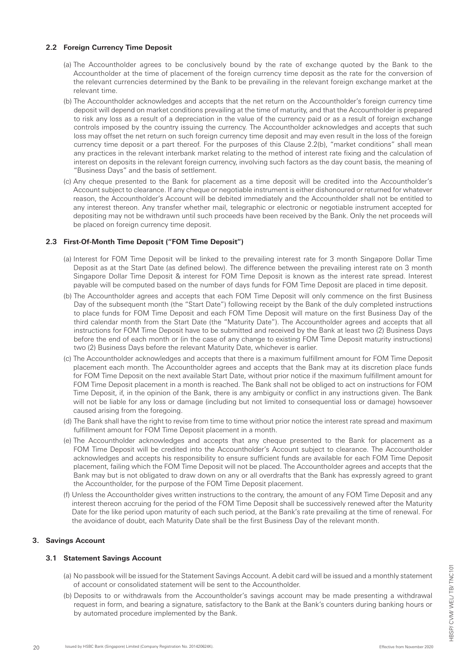#### **2.2 Foreign Currency Time Deposit**

- (a) The Accountholder agrees to be conclusively bound by the rate of exchange quoted by the Bank to the Accountholder at the time of placement of the foreign currency time deposit as the rate for the conversion of the relevant currencies determined by the Bank to be prevailing in the relevant foreign exchange market at the relevant time.
- (b) The Accountholder acknowledges and accepts that the net return on the Accountholder's foreign currency time deposit will depend on market conditions prevailing at the time of maturity, and that the Accountholder is prepared to risk any loss as a result of a depreciation in the value of the currency paid or as a result of foreign exchange controls imposed by the country issuing the currency. The Accountholder acknowledges and accepts that such loss may offset the net return on such foreign currency time deposit and may even result in the loss of the foreign currency time deposit or a part thereof. For the purposes of this Clause 2.2(b), "market conditions" shall mean any practices in the relevant interbank market relating to the method of interest rate fixing and the calculation of interest on deposits in the relevant foreign currency, involving such factors as the day count basis, the meaning of "Business Days" and the basis of settlement.
- (c) Any cheque presented to the Bank for placement as a time deposit will be credited into the Accountholder's Account subject to clearance. If any cheque or negotiable instrument is either dishonoured or returned for whatever reason, the Accountholder's Account will be debited immediately and the Accountholder shall not be entitled to any interest thereon. Any transfer whether mail, telegraphic or electronic or negotiable instrument accepted for depositing may not be withdrawn until such proceeds have been received by the Bank. Only the net proceeds will be placed on foreign currency time deposit.

# **2.3 First-Of-Month Time Deposit ("FOM Time Deposit")**

- (a) Interest for FOM Time Deposit will be linked to the prevailing interest rate for 3 month Singapore Dollar Time Deposit as at the Start Date (as defined below). The difference between the prevailing interest rate on 3 month Singapore Dollar Time Deposit & interest for FOM Time Deposit is known as the interest rate spread. Interest payable will be computed based on the number of days funds for FOM Time Deposit are placed in time deposit.
- (b) The Accountholder agrees and accepts that each FOM Time Deposit will only commence on the first Business Day of the subsequent month (the "Start Date") following receipt by the Bank of the duly completed instructions to place funds for FOM Time Deposit and each FOM Time Deposit will mature on the first Business Day of the third calendar month from the Start Date (the "Maturity Date"). The Accountholder agrees and accepts that all instructions for FOM Time Deposit have to be submitted and received by the Bank at least two (2) Business Days before the end of each month or (in the case of any change to existing FOM Time Deposit maturity instructions) two (2) Business Days before the relevant Maturity Date, whichever is earlier.
- (c) The Accountholder acknowledges and accepts that there is a maximum fulfillment amount for FOM Time Deposit placement each month. The Accountholder agrees and accepts that the Bank may at its discretion place funds for FOM Time Deposit on the next available Start Date, without prior notice if the maximum fulfillment amount for FOM Time Deposit placement in a month is reached. The Bank shall not be obliged to act on instructions for FOM Time Deposit, if, in the opinion of the Bank, there is any ambiguity or conflict in any instructions given. The Bank will not be liable for any loss or damage (including but not limited to consequential loss or damage) howsoever caused arising from the foregoing.
- (d) The Bank shall have the right to revise from time to time without prior notice the interest rate spread and maximum fulfillment amount for FOM Time Deposit placement in a month.
- (e) The Accountholder acknowledges and accepts that any cheque presented to the Bank for placement as a FOM Time Deposit will be credited into the Accountholder's Account subject to clearance. The Accountholder acknowledges and accepts his responsibility to ensure sufficient funds are available for each FOM Time Deposit placement, failing which the FOM Time Deposit will not be placed. The Accountholder agrees and accepts that the Bank may but is not obligated to draw down on any or all overdrafts that the Bank has expressly agreed to grant the Accountholder, for the purpose of the FOM Time Deposit placement.
- (f) Unless the Accountholder gives written instructions to the contrary, the amount of any FOM Time Deposit and any interest thereon accruing for the period of the FOM Time Deposit shall be successively renewed after the Maturity Date for the like period upon maturity of each such period, at the Bank's rate prevailing at the time of renewal. For the avoidance of doubt, each Maturity Date shall be the first Business Day of the relevant month.

# **3. Savings Account**

# **3.1 Statement Savings Account**

- (a) No passbook will be issued for the Statement Savings Account. A debit card will be issued and a monthly statement of account or consolidated statement will be sent to the Accountholder.
- (b) Deposits to or withdrawals from the Accountholder's savings account may be made presenting a withdrawal request in form, and bearing a signature, satisfactory to the Bank at the Bank's counters during banking hours or by automated procedure implemented by the Bank.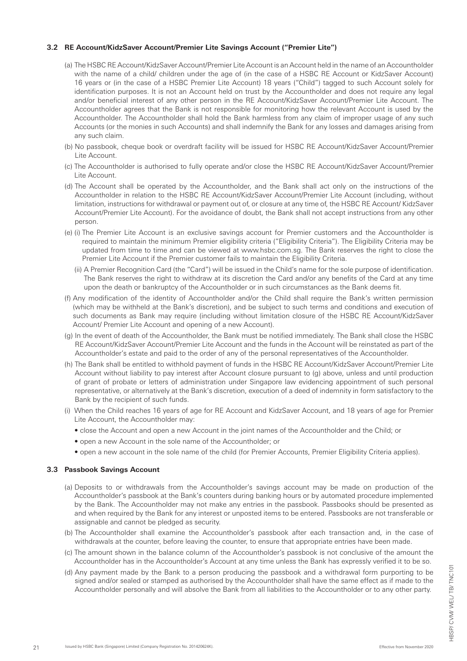#### **3.2 RE Account/KidzSaver Account/Premier Lite Savings Account ("Premier Lite")**

- (a) The HSBC RE Account/KidzSaver Account/Premier Lite Account is an Account held in the name of an Accountholder with the name of a child/ children under the age of (in the case of a HSBC RE Account or KidzSaver Account) 16 years or (in the case of a HSBC Premier Lite Account) 18 years ("Child") tagged to such Account solely for identification purposes. It is not an Account held on trust by the Accountholder and does not require any legal and/or beneficial interest of any other person in the RE Account/KidzSaver Account/Premier Lite Account. The Accountholder agrees that the Bank is not responsible for monitoring how the relevant Account is used by the Accountholder. The Accountholder shall hold the Bank harmless from any claim of improper usage of any such Accounts (or the monies in such Accounts) and shall indemnify the Bank for any losses and damages arising from any such claim.
- (b) No passbook, cheque book or overdraft facility will be issued for HSBC RE Account/KidzSaver Account/Premier Lite Account.
- (c) The Accountholder is authorised to fully operate and/or close the HSBC RE Account/KidzSaver Account/Premier Lite Account.
- (d) The Account shall be operated by the Accountholder, and the Bank shall act only on the instructions of the Accountholder in relation to the HSBC RE Account/KidzSaver Account/Premier Lite Account (including, without limitation, instructions for withdrawal or payment out of, or closure at any time of, the HSBC RE Account/ KidzSaver Account/Premier Lite Account). For the avoidance of doubt, the Bank shall not accept instructions from any other person.
- (e) (i) The Premier Lite Account is an exclusive savings account for Premier customers and the Accountholder is required to maintain the minimum Premier eligibility criteria ("Eligibility Criteria"). The Eligibility Criteria may be updated from time to time and can be viewed at www.hsbc.com.sg. The Bank reserves the right to close the Premier Lite Account if the Premier customer fails to maintain the Eligibility Criteria.
	- (ii) A Premier Recognition Card (the "Card") will be issued in the Child's name for the sole purpose of identification. The Bank reserves the right to withdraw at its discretion the Card and/or any benefits of the Card at any time upon the death or bankruptcy of the Accountholder or in such circumstances as the Bank deems fit.
- (f) Any modification of the identity of Accountholder and/or the Child shall require the Bank's written permission (which may be withheld at the Bank's discretion), and be subject to such terms and conditions and execution of such documents as Bank may require (including without limitation closure of the HSBC RE Account/KidzSaver Account/ Premier Lite Account and opening of a new Account).
- (g) In the event of death of the Accountholder, the Bank must be notified immediately. The Bank shall close the HSBC RE Account/KidzSaver Account/Premier Lite Account and the funds in the Account will be reinstated as part of the Accountholder's estate and paid to the order of any of the personal representatives of the Accountholder.
- (h) The Bank shall be entitled to withhold payment of funds in the HSBC RE Account/KidzSaver Account/Premier Lite Account without liability to pay interest after Account closure pursuant to (g) above, unless and until production of grant of probate or letters of administration under Singapore law evidencing appointment of such personal representative, or alternatively at the Bank's discretion, execution of a deed of indemnity in form satisfactory to the Bank by the recipient of such funds.
- (i) When the Child reaches 16 years of age for RE Account and KidzSaver Account, and 18 years of age for Premier Lite Account, the Accountholder may:
	- close the Account and open a new Account in the joint names of the Accountholder and the Child; or
	- open a new Account in the sole name of the Accountholder; or
	- open a new account in the sole name of the child (for Premier Accounts, Premier Eligibility Criteria applies).

# **3.3 Passbook Savings Account**

- (a) Deposits to or withdrawals from the Accountholder's savings account may be made on production of the Accountholder's passbook at the Bank's counters during banking hours or by automated procedure implemented by the Bank. The Accountholder may not make any entries in the passbook. Passbooks should be presented as and when required by the Bank for any interest or unposted items to be entered. Passbooks are not transferable or assignable and cannot be pledged as security.
- (b) The Accountholder shall examine the Accountholder's passbook after each transaction and, in the case of withdrawals at the counter, before leaving the counter, to ensure that appropriate entries have been made.
- (c) The amount shown in the balance column of the Accountholder's passbook is not conclusive of the amount the Accountholder has in the Accountholder's Account at any time unless the Bank has expressly verified it to be so.
- (d) Any payment made by the Bank to a person producing the passbook and a withdrawal form purporting to be signed and/or sealed or stamped as authorised by the Accountholder shall have the same effect as if made to the Accountholder personally and will absolve the Bank from all liabilities to the Accountholder or to any other party.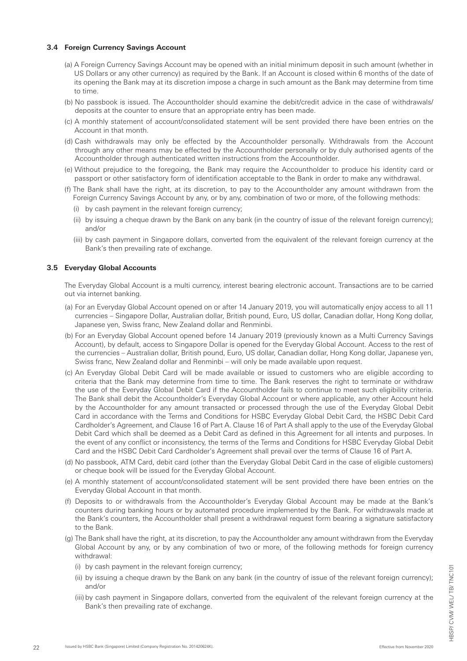#### **3.4 Foreign Currency Savings Account**

- (a) A Foreign Currency Savings Account may be opened with an initial minimum deposit in such amount (whether in US Dollars or any other currency) as required by the Bank. If an Account is closed within 6 months of the date of its opening the Bank may at its discretion impose a charge in such amount as the Bank may determine from time to time.
- (b) No passbook is issued. The Accountholder should examine the debit/credit advice in the case of withdrawals/ deposits at the counter to ensure that an appropriate entry has been made.
- (c) A monthly statement of account/consolidated statement will be sent provided there have been entries on the Account in that month.
- (d) Cash withdrawals may only be effected by the Accountholder personally. Withdrawals from the Account through any other means may be effected by the Accountholder personally or by duly authorised agents of the Accountholder through authenticated written instructions from the Accountholder.
- (e) Without prejudice to the foregoing, the Bank may require the Accountholder to produce his identity card or passport or other satisfactory form of identification acceptable to the Bank in order to make any withdrawal.
- (f) The Bank shall have the right, at its discretion, to pay to the Accountholder any amount withdrawn from the Foreign Currency Savings Account by any, or by any, combination of two or more, of the following methods:
	- (i) by cash payment in the relevant foreign currency;
	- (ii) by issuing a cheque drawn by the Bank on any bank (in the country of issue of the relevant foreign currency); and/or
	- (iii) by cash payment in Singapore dollars, converted from the equivalent of the relevant foreign currency at the Bank's then prevailing rate of exchange.

#### **3.5 Everyday Global Accounts**

 The Everyday Global Account is a multi currency, interest bearing electronic account. Transactions are to be carried out via internet banking.

- (a) For an Everyday Global Account opened on or after 14 January 2019, you will automatically enjoy access to all 11 currencies – Singapore Dollar, Australian dollar, British pound, Euro, US dollar, Canadian dollar, Hong Kong dollar, Japanese yen, Swiss franc, New Zealand dollar and Renminbi.
- (b) For an Everyday Global Account opened before 14 January 2019 (previously known as a Multi Currency Savings Account), by default, access to Singapore Dollar is opened for the Everyday Global Account. Access to the rest of the currencies – Australian dollar, British pound, Euro, US dollar, Canadian dollar, Hong Kong dollar, Japanese yen, Swiss franc, New Zealand dollar and Renminbi – will only be made available upon request.
- (c) An Everyday Global Debit Card will be made available or issued to customers who are eligible according to criteria that the Bank may determine from time to time. The Bank reserves the right to terminate or withdraw the use of the Everyday Global Debit Card if the Accountholder fails to continue to meet such eligibility criteria. The Bank shall debit the Accountholder's Everyday Global Account or where applicable, any other Account held by the Accountholder for any amount transacted or processed through the use of the Everyday Global Debit Card in accordance with the Terms and Conditions for HSBC Everyday Global Debit Card, the HSBC Debit Card Cardholder's Agreement, and Clause 16 of Part A. Clause 16 of Part A shall apply to the use of the Everyday Global Debit Card which shall be deemed as a Debit Card as defined in this Agreement for all intents and purposes. In the event of any conflict or inconsistency, the terms of the Terms and Conditions for HSBC Everyday Global Debit Card and the HSBC Debit Card Cardholder's Agreement shall prevail over the terms of Clause 16 of Part A.
- (d) No passbook, ATM Card, debit card (other than the Everyday Global Debit Card in the case of eligible customers) or cheque book will be issued for the Everyday Global Account.
- (e) A monthly statement of account/consolidated statement will be sent provided there have been entries on the Everyday Global Account in that month.
- (f) Deposits to or withdrawals from the Accountholder's Everyday Global Account may be made at the Bank's counters during banking hours or by automated procedure implemented by the Bank. For withdrawals made at the Bank's counters, the Accountholder shall present a withdrawal request form bearing a signature satisfactory to the Bank.
- (g) The Bank shall have the right, at its discretion, to pay the Accountholder any amount withdrawn from the Everyday Global Account by any, or by any combination of two or more, of the following methods for foreign currency withdrawal:
	- (i) by cash payment in the relevant foreign currency;
	- (ii) by issuing a cheque drawn by the Bank on any bank (in the country of issue of the relevant foreign currency); and/or
	- (iii) by cash payment in Singapore dollars, converted from the equivalent of the relevant foreign currency at the Bank's then prevailing rate of exchange.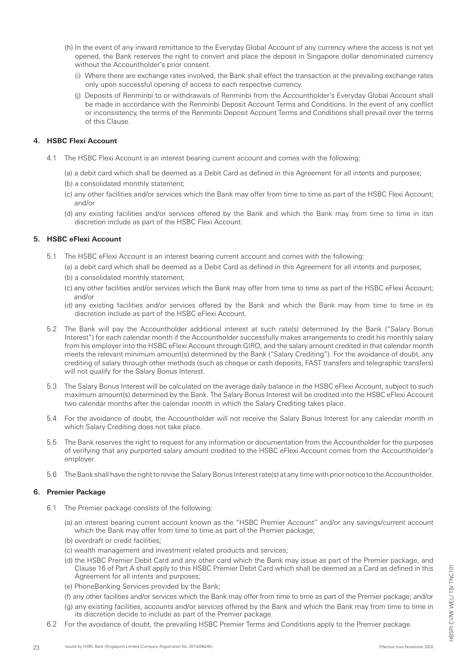- (h) In the event of any inward remittance to the Everyday Global Account of any currency where the access is not yet opened, the Bank reserves the right to convert and place the deposit in Singapore dollar denominated currency without the Accountholder's prior consent.
	- (i) Where there are exchange rates involved, the Bank shall effect the transaction at the prevailing exchange rates only upon successful opening of access to each respective currency.
	- (j) Deposits of Renminbi to or withdrawals of Renminbi from the Accountholder's Everyday Global Account shall be made in accordance with the Renminbi Deposit Account Terms and Conditions. In the event of any conflict or inconsistency, the terms of the Renminbi Deposit Account Terms and Conditions shall prevail over the terms of this Clause.

# **4. HSBC Flexi Account**

- 4.1 The HSBC Flexi Account is an interest bearing current account and comes with the following:
	- (a) a debit card which shall be deemed as a Debit Card as defined in this Agreement for all intents and purposes;
	- (b) a consolidated monthly statement;
	- (c) any other facilities and/or services which the Bank may offer from time to time as part of the HSBC Flexi Account; and/or
	- (d) any existing facilities and/or services offered by the Bank and which the Bank may from time to time in itsn discretion include as part of the HSBC Flexi Account.

# **5. HSBC eFlexi Account**

- 5.1 The HSBC eFlexi Account is an interest bearing current account and comes with the following:
	- (a) a debit card which shall be deemed as a Debit Card as defined in this Agreement for all intents and purposes;
	- (b) a consolidated monthly statement;
	- (c) any other facilities and/or services which the Bank may offer from time to time as part of the HSBC eFlexi Account; and/or
	- (d) any existing facilities and/or services offered by the Bank and which the Bank may from time to time in its discretion include as part of the HSBC eFlexi Account.
- 5.2 The Bank will pay the Accountholder additional interest at such rate(s) determined by the Bank ("Salary Bonus Interest") for each calendar month if the Accountholder successfully makes arrangements to credit his monthly salary from his employer into the HSBC eFlexi Account through GIRO, and the salary amount credited in that calendar month meets the relevant minimum amount(s) determined by the Bank ("Salary Crediting"). For the avoidance of doubt, any crediting of salary through other methods (such as cheque or cash deposits, FAST transfers and telegraphic transfers) will not qualify for the Salary Bonus Interest.
- 5.3 The Salary Bonus Interest will be calculated on the average daily balance in the HSBC eFlexi Account, subject to such maximum amount(s) determined by the Bank. The Salary Bonus Interest will be credited into the HSBC eFlexi Account two calendar months after the calendar month in which the Salary Crediting takes place.
- 5.4 For the avoidance of doubt, the Accountholder will not receive the Salary Bonus Interest for any calendar month in which Salary Crediting does not take place.
- 5.5 The Bank reserves the right to request for any information or documentation from the Accountholder for the purposes of verifying that any purported salary amount credited to the HSBC eFlexi Account comes from the Accountholder's employer.
- 5.6 The Bank shall have the right to revise the Salary Bonus Interest rate(s) at any time with prior notice to the Accountholder.

# **6. Premier Package**

- 6.1 The Premier package consists of the following:
	- (a) an interest bearing current account known as the "HSBC Premier Account" and/or any savings/current account which the Bank may offer from time to time as part of the Premier package;
	- (b) overdraft or credit facilities;
	- (c) wealth management and investment related products and services;
	- (d) the HSBC Premier Debit Card and any other card which the Bank may issue as part of the Premier package, and Clause 16 of Part A shall apply to this HSBC Premier Debit Card which shall be deemed as a Card as defined in this Agreement for all intents and purposes;
	- (e) PhoneBanking Services provided by the Bank;
	- (f) any other facilities and/or services which the Bank may offer from time to time as part of the Premier package; and/or
	- (g) any existing facilities, accounts and/or services offered by the Bank and which the Bank may from time to time in its discretion decide to include as part of the Premier package.
- 6.2 For the avoidance of doubt, the prevailing HSBC Premier Terms and Conditions apply to the Premier package.